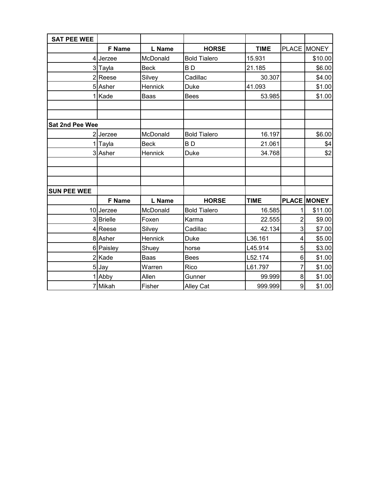| <b>SAT PEE WEE</b>     |               |             |                     |             |                |                    |
|------------------------|---------------|-------------|---------------------|-------------|----------------|--------------------|
|                        | <b>F</b> Name | L Name      | <b>HORSE</b>        | <b>TIME</b> |                | PLACE MONEY        |
|                        | 4 Jerzee      | McDonald    | <b>Bold Tialero</b> | 15.931      |                | \$10.00            |
|                        | 3 Tayla       | <b>Beck</b> | BD                  | 21.185      |                | \$6.00             |
|                        | 2Reese        | Silvey      | Cadillac            | 30.307      |                | \$4.00             |
|                        | 5 Asher       | Hennick     | <b>Duke</b>         | 41.093      |                | \$1.00             |
|                        | 1 Kade        | Baas        | <b>Bees</b>         | 53.985      |                | \$1.00             |
|                        |               |             |                     |             |                |                    |
|                        |               |             |                     |             |                |                    |
| <b>Sat 2nd Pee Wee</b> |               |             |                     |             |                |                    |
|                        | 2 Jerzee      | McDonald    | <b>Bold Tialero</b> | 16.197      |                | \$6.00             |
|                        | 1 Tayla       | <b>Beck</b> | BD                  | 21.061      |                | \$4                |
|                        | 3 Asher       | Hennick     | <b>Duke</b>         | 34.768      |                | \$2                |
|                        |               |             |                     |             |                |                    |
|                        |               |             |                     |             |                |                    |
|                        |               |             |                     |             |                |                    |
| <b>SUN PEE WEE</b>     |               |             |                     |             |                |                    |
|                        | <b>F</b> Name | L Name      | <b>HORSE</b>        | <b>TIME</b> |                | <b>PLACE MONEY</b> |
|                        | 10 Jerzee     | McDonald    | <b>Bold Tialero</b> | 16.585      | 1              | \$11.00            |
|                        | 3 Brielle     | Foxen       | Karma               | 22.555      | $\overline{c}$ | \$9.00             |
|                        | 4 Reese       | Silvey      | Cadillac            | 42.134      | 3              | \$7.00             |
|                        | 8 Asher       | Hennick     | <b>Duke</b>         | L36.161     | $\overline{4}$ | \$5.00             |
|                        | 6 Paisley     | Shuey       | horse               | L45.914     | 5              | \$3.00             |
|                        | 2 Kade        | Baas        | <b>Bees</b>         | L52.174     | 6              | \$1.00             |
|                        | 5 Jay         | Warren      | Rico                | L61.797     | 7              | \$1.00             |
|                        | 1 Abby        | Allen       | Gunner              | 99.999      | 8              | \$1.00             |
|                        | 7 Mikah       | Fisher      | Alley Cat           | 999.999     | 9              | \$1.00             |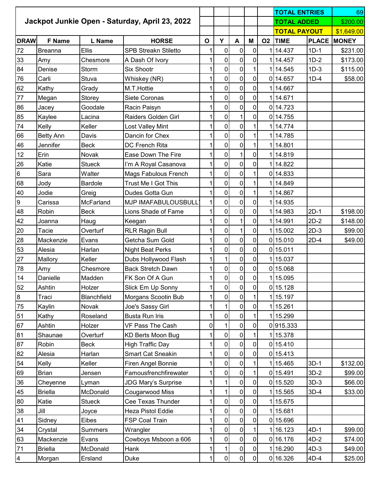| Jackpot Junkie Open - Saturday, April 23, 2022<br><b>TOTAL ADDED</b><br><b>TOTAL PAYOUT</b><br>Υ<br>L Name<br>$\mathbf{o}$<br>M<br><b>TIME</b><br><b>PLACE</b><br><b>DRAW</b><br>F Name<br><b>HORSE</b><br>A<br><b>O2</b><br>Ellis<br>0<br>$\mathbf 0$<br>114.437<br>72<br><b>SPB Streakn Stiletto</b><br>$\mathbf 0$<br>$1D-1$<br><b>Breanna</b><br>33<br>$\pmb{0}$<br>$\overline{0}$<br>$\pmb{0}$<br>114.457<br>Chesmore<br>$1D-2$<br>Amy<br>A Dash Of Ivory<br>1<br>$\overline{0}$<br>$\overline{0}$<br>84<br>Storm<br>$\mathbf{1}$<br>114.545<br>$1D-3$<br>Denise<br><b>Six Shootr</b><br>1<br>$\pmb{0}$<br>$\overline{0}$<br>$\overline{0}$<br>0 14.657<br>76<br>Carli<br>Stuva<br>Whiskey (NR)<br>$1D-4$<br>1<br>$\overline{0}$<br>$\overline{0}$<br>$\overline{0}$<br>62<br>Kathy<br>1<br>1 14.667<br>M.T.Hottie<br>Grady<br>$\mathbf 0$<br>$\overline{0}$<br>$\overline{0}$<br>77<br>1 14.671<br>Megan<br>Storey<br>Siete Coronas<br>1<br>$\overline{0}$<br>$\overline{0}$<br>86<br>$\overline{0}$<br>0 14.723<br>Jacey<br>Goodale<br>Racin Paisyn<br>1<br>$\mathbf 0$<br>$\overline{0}$<br>$\mathbf{1}$<br>85<br>0 14.755<br>Raiders Golden Girl<br>Kaylee<br>Lacina<br>1<br>$\pmb{0}$<br>0<br>74<br>Kelly<br>Keller<br>1<br>1 14.774<br>1<br>Lost Valley Mint<br>$\mathbf 0$<br>$\overline{0}$<br>$\mathbf{1}$<br>66<br><b>Betty Ann</b><br>Davis<br>Dancin for Chex<br>$\mathbf{1}$<br>1 14.785<br>$\mathbf 0$<br>$\overline{0}$<br>46<br>Jennifer<br>114.801<br><b>Beck</b><br>DC French Rita<br>1<br>1<br>$\mathbf{1}$<br>$\mathbf 0$<br>Erin<br>0<br>12<br>1 14.819<br>Novak<br>1<br>Ease Down The Fire<br>$\overline{0}$<br>26<br>$\overline{0}$<br>$\pmb{0}$<br>Katie<br>114.822<br><b>Stueck</b><br>1<br>I'm A Royal Casanova<br>$6\overline{6}$<br>$\pmb{0}$<br>0<br>Sara<br>Walter<br>1<br>0 14.833<br>Mags Fabulous French<br>1<br>$\pmb{0}$<br>$\overline{0}$<br>68<br>$\mathbf{1}$<br>114.849<br>Jody<br>Bardole<br>Trust Me I Got This<br>1<br>$\overline{0}$<br>$\overline{0}$<br>40<br>$\mathbf{1}$<br>Jodie<br>1<br>114.867<br>Dudes Gotta Gun<br>Greig<br>$\overline{0}$<br>9<br>$\overline{0}$<br>$\overline{0}$<br>McFarland<br>MJP IMAFABULOUSBULL<br>114.935<br>Carissa<br>1<br>$\overline{0}$<br>$\overline{0}$<br>$\overline{0}$<br>48<br>Robin<br>1<br>114.983<br>$2D-1$<br><b>Beck</b><br>Lions Shade of Fame<br>$\mathbf{1}$<br>$\pmb{0}$<br>42<br>$\overline{0}$<br>1 14.991<br>$2D-2$<br>Haug<br>1<br>Joanna<br>Keegan<br>20<br>$\mathbf{1}$<br>$\overline{0}$<br>$\pmb{0}$<br>115.002<br>$2D-3$<br><b>RLR Ragin Bull</b><br>Tacie<br>Overturf<br>1<br>$\mathbf 0$<br>$\mathbf 0$<br>$\overline{0}$<br>28<br>Evans<br>0 15.010<br>Mackenzie<br>Getcha Sum Gold<br>1<br>$2D-4$<br>$\overline{0}$<br>$\pmb{0}$<br>53<br>0<br>0 15.011<br>Alesia<br>Harlan<br><b>Night Beat Perks</b><br>1<br>$\mathbf 0$<br>$\mathbf 0$<br>27<br>Keller<br>Dubs Hollywood Flash<br>$\mathbf{1}$<br>115.037<br>Mallory<br>$\mathbf{1}$<br>$\mathbf 0$<br>$\mathbf 0$<br>$\overline{0}$<br>78<br><b>Back Stretch Dawn</b><br>0 15.068<br>Amy<br>Chesmore<br>1<br>$\overline{0}$<br>$\mathbf 0$<br>$\overline{0}$<br>14<br>Madden<br>$\mathbf{1}$<br>1 15.095<br>Danielle<br>FK Son Of A Gun<br>52<br>Ashtin<br>Holzer<br>Slick Em Up Sonny<br>1 <br>0 15.128<br> 0 <br>$\sigma$<br>$\overline{0}$<br>$\overline{0}$<br> 8 <br>$\overline{0}$<br>$\mathbf{1}$<br>1<br>1 15.197<br>Blanchfield<br>Morgans Scootin Bub<br>Traci<br>$\overline{0}$<br>$\overline{0}$<br>75<br>1 15.261<br>Kaylin<br>Novak<br>Joe's Sassy Girl<br>1<br>$\overline{0}$<br>$\overline{0}$<br>$\mathbf{1}$<br>51<br>Kathy<br>Roseland<br><b>Busta Run Iris</b><br>1 15.299<br>1<br>67<br>$\pmb{0}$<br>1<br>$\overline{0}$<br>$\overline{0}$<br>Ashtin<br>VF Pass The Cash<br>0915.333<br>Holzer<br>$\overline{0}$<br>81<br>$\overline{0}$<br>$\mathbf{1}$<br>1 15.378<br>Shaunae<br>Overturf<br><b>KD Berts Moon Bug</b><br>1<br>$\overline{0}$<br>87<br>$\overline{0}$<br>$\overline{0}$<br>0 15.410<br>Robin<br>High Traffic Day<br>Beck<br>1<br>$\overline{0}$<br>82<br>$\overline{0}$<br>$\pmb{0}$<br>Alesia<br>Harlan<br><b>Smart Cat Sneakin</b><br>0 15.413<br>1<br>$\overline{0}$<br>$\overline{0}$<br>54<br>Kelly<br>Keller<br>Firen Angel Bonnie<br>1<br>1 15.465<br>$\mathbf{1}$<br>$3D-1$<br>$\overline{0}$<br>69<br>0<br>0 15.491<br><b>Brian</b><br>Famousfrenchfirewater<br>$3D-2$<br>Jensen<br>1<br>$\overline{0}$<br>$\overline{0}$<br>36<br>JDG Mary's Surprise<br>$\mathbf{1}$<br>$\mathbf 1$<br>0 15.520<br>$3D-3$<br>Cheyenne<br>Lyman<br>$\overline{0}$<br>45<br><b>Briella</b><br>McDonald<br>Cougarwood Miss<br>$\pmb{0}$<br>1 15.565<br>$3D-4$<br>1<br>$\overline{0}$<br>$\overline{0}$<br>Katie<br>$\overline{0}$<br>80<br><b>Stueck</b><br>Cee Texas Thunder<br>$\mathbf{1}$<br>1 15.675<br>38<br>$\overline{0}$<br>Jill<br>Heza Pistol Eddie<br>$\overline{0}$<br>$\overline{0}$<br>115.681<br>Joyce<br>1<br>$\overline{0}$<br>$\overline{0}$<br>$\overline{0}$<br>41<br>Sidney<br>FSP Coal Train<br>0 15.696<br>Eibes<br>1<br>34<br>$\overline{0}$<br>$\overline{0}$<br>$\mathbf{1}$<br>1 16.123<br>$4D-1$<br>Crystal<br>Summers<br>Wrangler<br>$\mathbf{1}$<br>$\overline{0}$<br>$\overline{0}$<br>$\overline{0}$<br>63<br>1<br>$4D-2$<br>Mackenzie<br>Evans<br>Cowboys Msboon a 606<br>0 16.176 |    |         |          |      |   |   |                |                | <b>TOTAL ENTRIES</b> |        | 69           |
|--------------------------------------------------------------------------------------------------------------------------------------------------------------------------------------------------------------------------------------------------------------------------------------------------------------------------------------------------------------------------------------------------------------------------------------------------------------------------------------------------------------------------------------------------------------------------------------------------------------------------------------------------------------------------------------------------------------------------------------------------------------------------------------------------------------------------------------------------------------------------------------------------------------------------------------------------------------------------------------------------------------------------------------------------------------------------------------------------------------------------------------------------------------------------------------------------------------------------------------------------------------------------------------------------------------------------------------------------------------------------------------------------------------------------------------------------------------------------------------------------------------------------------------------------------------------------------------------------------------------------------------------------------------------------------------------------------------------------------------------------------------------------------------------------------------------------------------------------------------------------------------------------------------------------------------------------------------------------------------------------------------------------------------------------------------------------------------------------------------------------------------------------------------------------------------------------------------------------------------------------------------------------------------------------------------------------------------------------------------------------------------------------------------------------------------------------------------------------------------------------------------------------------------------------------------------------------------------------------------------------------------------------------------------------------------------------------------------------------------------------------------------------------------------------------------------------------------------------------------------------------------------------------------------------------------------------------------------------------------------------------------------------------------------------------------------------------------------------------------------------------------------------------------------------------------------------------------------------------------------------------------------------------------------------------------------------------------------------------------------------------------------------------------------------------------------------------------------------------------------------------------------------------------------------------------------------------------------------------------------------------------------------------------------------------------------------------------------------------------------------------------------------------------------------------------------------------------------------------------------------------------------------------------------------------------------------------------------------------------------------------------------------------------------------------------------------------------------------------------------------------------------------------------------------------------------------------------------------------------------------------------------------------------------------------------------------------------------------------------------------------------------------------------------------------------------------------------------------------------------------------------------------------------------------------------------------------------------------------------------------------------------------------------------------------------------------------------------------------------------------------------------------------------------------------------------------------------------------------------------------------------------------------------------------------------------------------------------------------------------------------------------------------------------------------------------------------------------------------------------------------------------------------------------------------------------------------------------------------------------------------------------------------------------------------------------------|----|---------|----------|------|---|---|----------------|----------------|----------------------|--------|--------------|
|                                                                                                                                                                                                                                                                                                                                                                                                                                                                                                                                                                                                                                                                                                                                                                                                                                                                                                                                                                                                                                                                                                                                                                                                                                                                                                                                                                                                                                                                                                                                                                                                                                                                                                                                                                                                                                                                                                                                                                                                                                                                                                                                                                                                                                                                                                                                                                                                                                                                                                                                                                                                                                                                                                                                                                                                                                                                                                                                                                                                                                                                                                                                                                                                                                                                                                                                                                                                                                                                                                                                                                                                                                                                                                                                                                                                                                                                                                                                                                                                                                                                                                                                                                                                                                                                                                                                                                                                                                                                                                                                                                                                                                                                                                                                                                                                                                                                                                                                                                                                                                                                                                                                                                                                                                                                                                                          |    |         |          |      |   |   |                |                |                      |        | \$200.00     |
|                                                                                                                                                                                                                                                                                                                                                                                                                                                                                                                                                                                                                                                                                                                                                                                                                                                                                                                                                                                                                                                                                                                                                                                                                                                                                                                                                                                                                                                                                                                                                                                                                                                                                                                                                                                                                                                                                                                                                                                                                                                                                                                                                                                                                                                                                                                                                                                                                                                                                                                                                                                                                                                                                                                                                                                                                                                                                                                                                                                                                                                                                                                                                                                                                                                                                                                                                                                                                                                                                                                                                                                                                                                                                                                                                                                                                                                                                                                                                                                                                                                                                                                                                                                                                                                                                                                                                                                                                                                                                                                                                                                                                                                                                                                                                                                                                                                                                                                                                                                                                                                                                                                                                                                                                                                                                                                          |    |         |          |      |   |   |                |                |                      |        | \$1,649.00   |
|                                                                                                                                                                                                                                                                                                                                                                                                                                                                                                                                                                                                                                                                                                                                                                                                                                                                                                                                                                                                                                                                                                                                                                                                                                                                                                                                                                                                                                                                                                                                                                                                                                                                                                                                                                                                                                                                                                                                                                                                                                                                                                                                                                                                                                                                                                                                                                                                                                                                                                                                                                                                                                                                                                                                                                                                                                                                                                                                                                                                                                                                                                                                                                                                                                                                                                                                                                                                                                                                                                                                                                                                                                                                                                                                                                                                                                                                                                                                                                                                                                                                                                                                                                                                                                                                                                                                                                                                                                                                                                                                                                                                                                                                                                                                                                                                                                                                                                                                                                                                                                                                                                                                                                                                                                                                                                                          |    |         |          |      |   |   |                |                |                      |        | <b>MONEY</b> |
|                                                                                                                                                                                                                                                                                                                                                                                                                                                                                                                                                                                                                                                                                                                                                                                                                                                                                                                                                                                                                                                                                                                                                                                                                                                                                                                                                                                                                                                                                                                                                                                                                                                                                                                                                                                                                                                                                                                                                                                                                                                                                                                                                                                                                                                                                                                                                                                                                                                                                                                                                                                                                                                                                                                                                                                                                                                                                                                                                                                                                                                                                                                                                                                                                                                                                                                                                                                                                                                                                                                                                                                                                                                                                                                                                                                                                                                                                                                                                                                                                                                                                                                                                                                                                                                                                                                                                                                                                                                                                                                                                                                                                                                                                                                                                                                                                                                                                                                                                                                                                                                                                                                                                                                                                                                                                                                          |    |         |          |      |   |   |                |                |                      |        | \$231.00     |
|                                                                                                                                                                                                                                                                                                                                                                                                                                                                                                                                                                                                                                                                                                                                                                                                                                                                                                                                                                                                                                                                                                                                                                                                                                                                                                                                                                                                                                                                                                                                                                                                                                                                                                                                                                                                                                                                                                                                                                                                                                                                                                                                                                                                                                                                                                                                                                                                                                                                                                                                                                                                                                                                                                                                                                                                                                                                                                                                                                                                                                                                                                                                                                                                                                                                                                                                                                                                                                                                                                                                                                                                                                                                                                                                                                                                                                                                                                                                                                                                                                                                                                                                                                                                                                                                                                                                                                                                                                                                                                                                                                                                                                                                                                                                                                                                                                                                                                                                                                                                                                                                                                                                                                                                                                                                                                                          |    |         |          |      |   |   |                |                |                      |        | \$173.00     |
|                                                                                                                                                                                                                                                                                                                                                                                                                                                                                                                                                                                                                                                                                                                                                                                                                                                                                                                                                                                                                                                                                                                                                                                                                                                                                                                                                                                                                                                                                                                                                                                                                                                                                                                                                                                                                                                                                                                                                                                                                                                                                                                                                                                                                                                                                                                                                                                                                                                                                                                                                                                                                                                                                                                                                                                                                                                                                                                                                                                                                                                                                                                                                                                                                                                                                                                                                                                                                                                                                                                                                                                                                                                                                                                                                                                                                                                                                                                                                                                                                                                                                                                                                                                                                                                                                                                                                                                                                                                                                                                                                                                                                                                                                                                                                                                                                                                                                                                                                                                                                                                                                                                                                                                                                                                                                                                          |    |         |          |      |   |   |                |                |                      |        | \$115.00     |
|                                                                                                                                                                                                                                                                                                                                                                                                                                                                                                                                                                                                                                                                                                                                                                                                                                                                                                                                                                                                                                                                                                                                                                                                                                                                                                                                                                                                                                                                                                                                                                                                                                                                                                                                                                                                                                                                                                                                                                                                                                                                                                                                                                                                                                                                                                                                                                                                                                                                                                                                                                                                                                                                                                                                                                                                                                                                                                                                                                                                                                                                                                                                                                                                                                                                                                                                                                                                                                                                                                                                                                                                                                                                                                                                                                                                                                                                                                                                                                                                                                                                                                                                                                                                                                                                                                                                                                                                                                                                                                                                                                                                                                                                                                                                                                                                                                                                                                                                                                                                                                                                                                                                                                                                                                                                                                                          |    |         |          |      |   |   |                |                |                      |        | \$58.00      |
|                                                                                                                                                                                                                                                                                                                                                                                                                                                                                                                                                                                                                                                                                                                                                                                                                                                                                                                                                                                                                                                                                                                                                                                                                                                                                                                                                                                                                                                                                                                                                                                                                                                                                                                                                                                                                                                                                                                                                                                                                                                                                                                                                                                                                                                                                                                                                                                                                                                                                                                                                                                                                                                                                                                                                                                                                                                                                                                                                                                                                                                                                                                                                                                                                                                                                                                                                                                                                                                                                                                                                                                                                                                                                                                                                                                                                                                                                                                                                                                                                                                                                                                                                                                                                                                                                                                                                                                                                                                                                                                                                                                                                                                                                                                                                                                                                                                                                                                                                                                                                                                                                                                                                                                                                                                                                                                          |    |         |          |      |   |   |                |                |                      |        |              |
|                                                                                                                                                                                                                                                                                                                                                                                                                                                                                                                                                                                                                                                                                                                                                                                                                                                                                                                                                                                                                                                                                                                                                                                                                                                                                                                                                                                                                                                                                                                                                                                                                                                                                                                                                                                                                                                                                                                                                                                                                                                                                                                                                                                                                                                                                                                                                                                                                                                                                                                                                                                                                                                                                                                                                                                                                                                                                                                                                                                                                                                                                                                                                                                                                                                                                                                                                                                                                                                                                                                                                                                                                                                                                                                                                                                                                                                                                                                                                                                                                                                                                                                                                                                                                                                                                                                                                                                                                                                                                                                                                                                                                                                                                                                                                                                                                                                                                                                                                                                                                                                                                                                                                                                                                                                                                                                          |    |         |          |      |   |   |                |                |                      |        |              |
|                                                                                                                                                                                                                                                                                                                                                                                                                                                                                                                                                                                                                                                                                                                                                                                                                                                                                                                                                                                                                                                                                                                                                                                                                                                                                                                                                                                                                                                                                                                                                                                                                                                                                                                                                                                                                                                                                                                                                                                                                                                                                                                                                                                                                                                                                                                                                                                                                                                                                                                                                                                                                                                                                                                                                                                                                                                                                                                                                                                                                                                                                                                                                                                                                                                                                                                                                                                                                                                                                                                                                                                                                                                                                                                                                                                                                                                                                                                                                                                                                                                                                                                                                                                                                                                                                                                                                                                                                                                                                                                                                                                                                                                                                                                                                                                                                                                                                                                                                                                                                                                                                                                                                                                                                                                                                                                          |    |         |          |      |   |   |                |                |                      |        |              |
|                                                                                                                                                                                                                                                                                                                                                                                                                                                                                                                                                                                                                                                                                                                                                                                                                                                                                                                                                                                                                                                                                                                                                                                                                                                                                                                                                                                                                                                                                                                                                                                                                                                                                                                                                                                                                                                                                                                                                                                                                                                                                                                                                                                                                                                                                                                                                                                                                                                                                                                                                                                                                                                                                                                                                                                                                                                                                                                                                                                                                                                                                                                                                                                                                                                                                                                                                                                                                                                                                                                                                                                                                                                                                                                                                                                                                                                                                                                                                                                                                                                                                                                                                                                                                                                                                                                                                                                                                                                                                                                                                                                                                                                                                                                                                                                                                                                                                                                                                                                                                                                                                                                                                                                                                                                                                                                          |    |         |          |      |   |   |                |                |                      |        |              |
|                                                                                                                                                                                                                                                                                                                                                                                                                                                                                                                                                                                                                                                                                                                                                                                                                                                                                                                                                                                                                                                                                                                                                                                                                                                                                                                                                                                                                                                                                                                                                                                                                                                                                                                                                                                                                                                                                                                                                                                                                                                                                                                                                                                                                                                                                                                                                                                                                                                                                                                                                                                                                                                                                                                                                                                                                                                                                                                                                                                                                                                                                                                                                                                                                                                                                                                                                                                                                                                                                                                                                                                                                                                                                                                                                                                                                                                                                                                                                                                                                                                                                                                                                                                                                                                                                                                                                                                                                                                                                                                                                                                                                                                                                                                                                                                                                                                                                                                                                                                                                                                                                                                                                                                                                                                                                                                          |    |         |          |      |   |   |                |                |                      |        |              |
|                                                                                                                                                                                                                                                                                                                                                                                                                                                                                                                                                                                                                                                                                                                                                                                                                                                                                                                                                                                                                                                                                                                                                                                                                                                                                                                                                                                                                                                                                                                                                                                                                                                                                                                                                                                                                                                                                                                                                                                                                                                                                                                                                                                                                                                                                                                                                                                                                                                                                                                                                                                                                                                                                                                                                                                                                                                                                                                                                                                                                                                                                                                                                                                                                                                                                                                                                                                                                                                                                                                                                                                                                                                                                                                                                                                                                                                                                                                                                                                                                                                                                                                                                                                                                                                                                                                                                                                                                                                                                                                                                                                                                                                                                                                                                                                                                                                                                                                                                                                                                                                                                                                                                                                                                                                                                                                          |    |         |          |      |   |   |                |                |                      |        |              |
|                                                                                                                                                                                                                                                                                                                                                                                                                                                                                                                                                                                                                                                                                                                                                                                                                                                                                                                                                                                                                                                                                                                                                                                                                                                                                                                                                                                                                                                                                                                                                                                                                                                                                                                                                                                                                                                                                                                                                                                                                                                                                                                                                                                                                                                                                                                                                                                                                                                                                                                                                                                                                                                                                                                                                                                                                                                                                                                                                                                                                                                                                                                                                                                                                                                                                                                                                                                                                                                                                                                                                                                                                                                                                                                                                                                                                                                                                                                                                                                                                                                                                                                                                                                                                                                                                                                                                                                                                                                                                                                                                                                                                                                                                                                                                                                                                                                                                                                                                                                                                                                                                                                                                                                                                                                                                                                          |    |         |          |      |   |   |                |                |                      |        |              |
|                                                                                                                                                                                                                                                                                                                                                                                                                                                                                                                                                                                                                                                                                                                                                                                                                                                                                                                                                                                                                                                                                                                                                                                                                                                                                                                                                                                                                                                                                                                                                                                                                                                                                                                                                                                                                                                                                                                                                                                                                                                                                                                                                                                                                                                                                                                                                                                                                                                                                                                                                                                                                                                                                                                                                                                                                                                                                                                                                                                                                                                                                                                                                                                                                                                                                                                                                                                                                                                                                                                                                                                                                                                                                                                                                                                                                                                                                                                                                                                                                                                                                                                                                                                                                                                                                                                                                                                                                                                                                                                                                                                                                                                                                                                                                                                                                                                                                                                                                                                                                                                                                                                                                                                                                                                                                                                          |    |         |          |      |   |   |                |                |                      |        |              |
|                                                                                                                                                                                                                                                                                                                                                                                                                                                                                                                                                                                                                                                                                                                                                                                                                                                                                                                                                                                                                                                                                                                                                                                                                                                                                                                                                                                                                                                                                                                                                                                                                                                                                                                                                                                                                                                                                                                                                                                                                                                                                                                                                                                                                                                                                                                                                                                                                                                                                                                                                                                                                                                                                                                                                                                                                                                                                                                                                                                                                                                                                                                                                                                                                                                                                                                                                                                                                                                                                                                                                                                                                                                                                                                                                                                                                                                                                                                                                                                                                                                                                                                                                                                                                                                                                                                                                                                                                                                                                                                                                                                                                                                                                                                                                                                                                                                                                                                                                                                                                                                                                                                                                                                                                                                                                                                          |    |         |          |      |   |   |                |                |                      |        |              |
|                                                                                                                                                                                                                                                                                                                                                                                                                                                                                                                                                                                                                                                                                                                                                                                                                                                                                                                                                                                                                                                                                                                                                                                                                                                                                                                                                                                                                                                                                                                                                                                                                                                                                                                                                                                                                                                                                                                                                                                                                                                                                                                                                                                                                                                                                                                                                                                                                                                                                                                                                                                                                                                                                                                                                                                                                                                                                                                                                                                                                                                                                                                                                                                                                                                                                                                                                                                                                                                                                                                                                                                                                                                                                                                                                                                                                                                                                                                                                                                                                                                                                                                                                                                                                                                                                                                                                                                                                                                                                                                                                                                                                                                                                                                                                                                                                                                                                                                                                                                                                                                                                                                                                                                                                                                                                                                          |    |         |          |      |   |   |                |                |                      |        |              |
|                                                                                                                                                                                                                                                                                                                                                                                                                                                                                                                                                                                                                                                                                                                                                                                                                                                                                                                                                                                                                                                                                                                                                                                                                                                                                                                                                                                                                                                                                                                                                                                                                                                                                                                                                                                                                                                                                                                                                                                                                                                                                                                                                                                                                                                                                                                                                                                                                                                                                                                                                                                                                                                                                                                                                                                                                                                                                                                                                                                                                                                                                                                                                                                                                                                                                                                                                                                                                                                                                                                                                                                                                                                                                                                                                                                                                                                                                                                                                                                                                                                                                                                                                                                                                                                                                                                                                                                                                                                                                                                                                                                                                                                                                                                                                                                                                                                                                                                                                                                                                                                                                                                                                                                                                                                                                                                          |    |         |          |      |   |   |                |                |                      |        |              |
|                                                                                                                                                                                                                                                                                                                                                                                                                                                                                                                                                                                                                                                                                                                                                                                                                                                                                                                                                                                                                                                                                                                                                                                                                                                                                                                                                                                                                                                                                                                                                                                                                                                                                                                                                                                                                                                                                                                                                                                                                                                                                                                                                                                                                                                                                                                                                                                                                                                                                                                                                                                                                                                                                                                                                                                                                                                                                                                                                                                                                                                                                                                                                                                                                                                                                                                                                                                                                                                                                                                                                                                                                                                                                                                                                                                                                                                                                                                                                                                                                                                                                                                                                                                                                                                                                                                                                                                                                                                                                                                                                                                                                                                                                                                                                                                                                                                                                                                                                                                                                                                                                                                                                                                                                                                                                                                          |    |         |          |      |   |   |                |                |                      |        |              |
|                                                                                                                                                                                                                                                                                                                                                                                                                                                                                                                                                                                                                                                                                                                                                                                                                                                                                                                                                                                                                                                                                                                                                                                                                                                                                                                                                                                                                                                                                                                                                                                                                                                                                                                                                                                                                                                                                                                                                                                                                                                                                                                                                                                                                                                                                                                                                                                                                                                                                                                                                                                                                                                                                                                                                                                                                                                                                                                                                                                                                                                                                                                                                                                                                                                                                                                                                                                                                                                                                                                                                                                                                                                                                                                                                                                                                                                                                                                                                                                                                                                                                                                                                                                                                                                                                                                                                                                                                                                                                                                                                                                                                                                                                                                                                                                                                                                                                                                                                                                                                                                                                                                                                                                                                                                                                                                          |    |         |          |      |   |   |                |                |                      |        |              |
|                                                                                                                                                                                                                                                                                                                                                                                                                                                                                                                                                                                                                                                                                                                                                                                                                                                                                                                                                                                                                                                                                                                                                                                                                                                                                                                                                                                                                                                                                                                                                                                                                                                                                                                                                                                                                                                                                                                                                                                                                                                                                                                                                                                                                                                                                                                                                                                                                                                                                                                                                                                                                                                                                                                                                                                                                                                                                                                                                                                                                                                                                                                                                                                                                                                                                                                                                                                                                                                                                                                                                                                                                                                                                                                                                                                                                                                                                                                                                                                                                                                                                                                                                                                                                                                                                                                                                                                                                                                                                                                                                                                                                                                                                                                                                                                                                                                                                                                                                                                                                                                                                                                                                                                                                                                                                                                          |    |         |          |      |   |   |                |                |                      |        | \$198.00     |
|                                                                                                                                                                                                                                                                                                                                                                                                                                                                                                                                                                                                                                                                                                                                                                                                                                                                                                                                                                                                                                                                                                                                                                                                                                                                                                                                                                                                                                                                                                                                                                                                                                                                                                                                                                                                                                                                                                                                                                                                                                                                                                                                                                                                                                                                                                                                                                                                                                                                                                                                                                                                                                                                                                                                                                                                                                                                                                                                                                                                                                                                                                                                                                                                                                                                                                                                                                                                                                                                                                                                                                                                                                                                                                                                                                                                                                                                                                                                                                                                                                                                                                                                                                                                                                                                                                                                                                                                                                                                                                                                                                                                                                                                                                                                                                                                                                                                                                                                                                                                                                                                                                                                                                                                                                                                                                                          |    |         |          |      |   |   |                |                |                      |        | \$148.00     |
|                                                                                                                                                                                                                                                                                                                                                                                                                                                                                                                                                                                                                                                                                                                                                                                                                                                                                                                                                                                                                                                                                                                                                                                                                                                                                                                                                                                                                                                                                                                                                                                                                                                                                                                                                                                                                                                                                                                                                                                                                                                                                                                                                                                                                                                                                                                                                                                                                                                                                                                                                                                                                                                                                                                                                                                                                                                                                                                                                                                                                                                                                                                                                                                                                                                                                                                                                                                                                                                                                                                                                                                                                                                                                                                                                                                                                                                                                                                                                                                                                                                                                                                                                                                                                                                                                                                                                                                                                                                                                                                                                                                                                                                                                                                                                                                                                                                                                                                                                                                                                                                                                                                                                                                                                                                                                                                          |    |         |          |      |   |   |                |                |                      |        | \$99.00      |
|                                                                                                                                                                                                                                                                                                                                                                                                                                                                                                                                                                                                                                                                                                                                                                                                                                                                                                                                                                                                                                                                                                                                                                                                                                                                                                                                                                                                                                                                                                                                                                                                                                                                                                                                                                                                                                                                                                                                                                                                                                                                                                                                                                                                                                                                                                                                                                                                                                                                                                                                                                                                                                                                                                                                                                                                                                                                                                                                                                                                                                                                                                                                                                                                                                                                                                                                                                                                                                                                                                                                                                                                                                                                                                                                                                                                                                                                                                                                                                                                                                                                                                                                                                                                                                                                                                                                                                                                                                                                                                                                                                                                                                                                                                                                                                                                                                                                                                                                                                                                                                                                                                                                                                                                                                                                                                                          |    |         |          |      |   |   |                |                |                      |        | \$49.00      |
|                                                                                                                                                                                                                                                                                                                                                                                                                                                                                                                                                                                                                                                                                                                                                                                                                                                                                                                                                                                                                                                                                                                                                                                                                                                                                                                                                                                                                                                                                                                                                                                                                                                                                                                                                                                                                                                                                                                                                                                                                                                                                                                                                                                                                                                                                                                                                                                                                                                                                                                                                                                                                                                                                                                                                                                                                                                                                                                                                                                                                                                                                                                                                                                                                                                                                                                                                                                                                                                                                                                                                                                                                                                                                                                                                                                                                                                                                                                                                                                                                                                                                                                                                                                                                                                                                                                                                                                                                                                                                                                                                                                                                                                                                                                                                                                                                                                                                                                                                                                                                                                                                                                                                                                                                                                                                                                          |    |         |          |      |   |   |                |                |                      |        |              |
|                                                                                                                                                                                                                                                                                                                                                                                                                                                                                                                                                                                                                                                                                                                                                                                                                                                                                                                                                                                                                                                                                                                                                                                                                                                                                                                                                                                                                                                                                                                                                                                                                                                                                                                                                                                                                                                                                                                                                                                                                                                                                                                                                                                                                                                                                                                                                                                                                                                                                                                                                                                                                                                                                                                                                                                                                                                                                                                                                                                                                                                                                                                                                                                                                                                                                                                                                                                                                                                                                                                                                                                                                                                                                                                                                                                                                                                                                                                                                                                                                                                                                                                                                                                                                                                                                                                                                                                                                                                                                                                                                                                                                                                                                                                                                                                                                                                                                                                                                                                                                                                                                                                                                                                                                                                                                                                          |    |         |          |      |   |   |                |                |                      |        |              |
|                                                                                                                                                                                                                                                                                                                                                                                                                                                                                                                                                                                                                                                                                                                                                                                                                                                                                                                                                                                                                                                                                                                                                                                                                                                                                                                                                                                                                                                                                                                                                                                                                                                                                                                                                                                                                                                                                                                                                                                                                                                                                                                                                                                                                                                                                                                                                                                                                                                                                                                                                                                                                                                                                                                                                                                                                                                                                                                                                                                                                                                                                                                                                                                                                                                                                                                                                                                                                                                                                                                                                                                                                                                                                                                                                                                                                                                                                                                                                                                                                                                                                                                                                                                                                                                                                                                                                                                                                                                                                                                                                                                                                                                                                                                                                                                                                                                                                                                                                                                                                                                                                                                                                                                                                                                                                                                          |    |         |          |      |   |   |                |                |                      |        |              |
|                                                                                                                                                                                                                                                                                                                                                                                                                                                                                                                                                                                                                                                                                                                                                                                                                                                                                                                                                                                                                                                                                                                                                                                                                                                                                                                                                                                                                                                                                                                                                                                                                                                                                                                                                                                                                                                                                                                                                                                                                                                                                                                                                                                                                                                                                                                                                                                                                                                                                                                                                                                                                                                                                                                                                                                                                                                                                                                                                                                                                                                                                                                                                                                                                                                                                                                                                                                                                                                                                                                                                                                                                                                                                                                                                                                                                                                                                                                                                                                                                                                                                                                                                                                                                                                                                                                                                                                                                                                                                                                                                                                                                                                                                                                                                                                                                                                                                                                                                                                                                                                                                                                                                                                                                                                                                                                          |    |         |          |      |   |   |                |                |                      |        |              |
|                                                                                                                                                                                                                                                                                                                                                                                                                                                                                                                                                                                                                                                                                                                                                                                                                                                                                                                                                                                                                                                                                                                                                                                                                                                                                                                                                                                                                                                                                                                                                                                                                                                                                                                                                                                                                                                                                                                                                                                                                                                                                                                                                                                                                                                                                                                                                                                                                                                                                                                                                                                                                                                                                                                                                                                                                                                                                                                                                                                                                                                                                                                                                                                                                                                                                                                                                                                                                                                                                                                                                                                                                                                                                                                                                                                                                                                                                                                                                                                                                                                                                                                                                                                                                                                                                                                                                                                                                                                                                                                                                                                                                                                                                                                                                                                                                                                                                                                                                                                                                                                                                                                                                                                                                                                                                                                          |    |         |          |      |   |   |                |                |                      |        |              |
|                                                                                                                                                                                                                                                                                                                                                                                                                                                                                                                                                                                                                                                                                                                                                                                                                                                                                                                                                                                                                                                                                                                                                                                                                                                                                                                                                                                                                                                                                                                                                                                                                                                                                                                                                                                                                                                                                                                                                                                                                                                                                                                                                                                                                                                                                                                                                                                                                                                                                                                                                                                                                                                                                                                                                                                                                                                                                                                                                                                                                                                                                                                                                                                                                                                                                                                                                                                                                                                                                                                                                                                                                                                                                                                                                                                                                                                                                                                                                                                                                                                                                                                                                                                                                                                                                                                                                                                                                                                                                                                                                                                                                                                                                                                                                                                                                                                                                                                                                                                                                                                                                                                                                                                                                                                                                                                          |    |         |          |      |   |   |                |                |                      |        |              |
|                                                                                                                                                                                                                                                                                                                                                                                                                                                                                                                                                                                                                                                                                                                                                                                                                                                                                                                                                                                                                                                                                                                                                                                                                                                                                                                                                                                                                                                                                                                                                                                                                                                                                                                                                                                                                                                                                                                                                                                                                                                                                                                                                                                                                                                                                                                                                                                                                                                                                                                                                                                                                                                                                                                                                                                                                                                                                                                                                                                                                                                                                                                                                                                                                                                                                                                                                                                                                                                                                                                                                                                                                                                                                                                                                                                                                                                                                                                                                                                                                                                                                                                                                                                                                                                                                                                                                                                                                                                                                                                                                                                                                                                                                                                                                                                                                                                                                                                                                                                                                                                                                                                                                                                                                                                                                                                          |    |         |          |      |   |   |                |                |                      |        |              |
|                                                                                                                                                                                                                                                                                                                                                                                                                                                                                                                                                                                                                                                                                                                                                                                                                                                                                                                                                                                                                                                                                                                                                                                                                                                                                                                                                                                                                                                                                                                                                                                                                                                                                                                                                                                                                                                                                                                                                                                                                                                                                                                                                                                                                                                                                                                                                                                                                                                                                                                                                                                                                                                                                                                                                                                                                                                                                                                                                                                                                                                                                                                                                                                                                                                                                                                                                                                                                                                                                                                                                                                                                                                                                                                                                                                                                                                                                                                                                                                                                                                                                                                                                                                                                                                                                                                                                                                                                                                                                                                                                                                                                                                                                                                                                                                                                                                                                                                                                                                                                                                                                                                                                                                                                                                                                                                          |    |         |          |      |   |   |                |                |                      |        |              |
|                                                                                                                                                                                                                                                                                                                                                                                                                                                                                                                                                                                                                                                                                                                                                                                                                                                                                                                                                                                                                                                                                                                                                                                                                                                                                                                                                                                                                                                                                                                                                                                                                                                                                                                                                                                                                                                                                                                                                                                                                                                                                                                                                                                                                                                                                                                                                                                                                                                                                                                                                                                                                                                                                                                                                                                                                                                                                                                                                                                                                                                                                                                                                                                                                                                                                                                                                                                                                                                                                                                                                                                                                                                                                                                                                                                                                                                                                                                                                                                                                                                                                                                                                                                                                                                                                                                                                                                                                                                                                                                                                                                                                                                                                                                                                                                                                                                                                                                                                                                                                                                                                                                                                                                                                                                                                                                          |    |         |          |      |   |   |                |                |                      |        |              |
|                                                                                                                                                                                                                                                                                                                                                                                                                                                                                                                                                                                                                                                                                                                                                                                                                                                                                                                                                                                                                                                                                                                                                                                                                                                                                                                                                                                                                                                                                                                                                                                                                                                                                                                                                                                                                                                                                                                                                                                                                                                                                                                                                                                                                                                                                                                                                                                                                                                                                                                                                                                                                                                                                                                                                                                                                                                                                                                                                                                                                                                                                                                                                                                                                                                                                                                                                                                                                                                                                                                                                                                                                                                                                                                                                                                                                                                                                                                                                                                                                                                                                                                                                                                                                                                                                                                                                                                                                                                                                                                                                                                                                                                                                                                                                                                                                                                                                                                                                                                                                                                                                                                                                                                                                                                                                                                          |    |         |          |      |   |   |                |                |                      |        |              |
|                                                                                                                                                                                                                                                                                                                                                                                                                                                                                                                                                                                                                                                                                                                                                                                                                                                                                                                                                                                                                                                                                                                                                                                                                                                                                                                                                                                                                                                                                                                                                                                                                                                                                                                                                                                                                                                                                                                                                                                                                                                                                                                                                                                                                                                                                                                                                                                                                                                                                                                                                                                                                                                                                                                                                                                                                                                                                                                                                                                                                                                                                                                                                                                                                                                                                                                                                                                                                                                                                                                                                                                                                                                                                                                                                                                                                                                                                                                                                                                                                                                                                                                                                                                                                                                                                                                                                                                                                                                                                                                                                                                                                                                                                                                                                                                                                                                                                                                                                                                                                                                                                                                                                                                                                                                                                                                          |    |         |          |      |   |   |                |                |                      |        |              |
|                                                                                                                                                                                                                                                                                                                                                                                                                                                                                                                                                                                                                                                                                                                                                                                                                                                                                                                                                                                                                                                                                                                                                                                                                                                                                                                                                                                                                                                                                                                                                                                                                                                                                                                                                                                                                                                                                                                                                                                                                                                                                                                                                                                                                                                                                                                                                                                                                                                                                                                                                                                                                                                                                                                                                                                                                                                                                                                                                                                                                                                                                                                                                                                                                                                                                                                                                                                                                                                                                                                                                                                                                                                                                                                                                                                                                                                                                                                                                                                                                                                                                                                                                                                                                                                                                                                                                                                                                                                                                                                                                                                                                                                                                                                                                                                                                                                                                                                                                                                                                                                                                                                                                                                                                                                                                                                          |    |         |          |      |   |   |                |                |                      |        |              |
|                                                                                                                                                                                                                                                                                                                                                                                                                                                                                                                                                                                                                                                                                                                                                                                                                                                                                                                                                                                                                                                                                                                                                                                                                                                                                                                                                                                                                                                                                                                                                                                                                                                                                                                                                                                                                                                                                                                                                                                                                                                                                                                                                                                                                                                                                                                                                                                                                                                                                                                                                                                                                                                                                                                                                                                                                                                                                                                                                                                                                                                                                                                                                                                                                                                                                                                                                                                                                                                                                                                                                                                                                                                                                                                                                                                                                                                                                                                                                                                                                                                                                                                                                                                                                                                                                                                                                                                                                                                                                                                                                                                                                                                                                                                                                                                                                                                                                                                                                                                                                                                                                                                                                                                                                                                                                                                          |    |         |          |      |   |   |                |                |                      |        | \$132.00     |
|                                                                                                                                                                                                                                                                                                                                                                                                                                                                                                                                                                                                                                                                                                                                                                                                                                                                                                                                                                                                                                                                                                                                                                                                                                                                                                                                                                                                                                                                                                                                                                                                                                                                                                                                                                                                                                                                                                                                                                                                                                                                                                                                                                                                                                                                                                                                                                                                                                                                                                                                                                                                                                                                                                                                                                                                                                                                                                                                                                                                                                                                                                                                                                                                                                                                                                                                                                                                                                                                                                                                                                                                                                                                                                                                                                                                                                                                                                                                                                                                                                                                                                                                                                                                                                                                                                                                                                                                                                                                                                                                                                                                                                                                                                                                                                                                                                                                                                                                                                                                                                                                                                                                                                                                                                                                                                                          |    |         |          |      |   |   |                |                |                      |        | \$99.00      |
|                                                                                                                                                                                                                                                                                                                                                                                                                                                                                                                                                                                                                                                                                                                                                                                                                                                                                                                                                                                                                                                                                                                                                                                                                                                                                                                                                                                                                                                                                                                                                                                                                                                                                                                                                                                                                                                                                                                                                                                                                                                                                                                                                                                                                                                                                                                                                                                                                                                                                                                                                                                                                                                                                                                                                                                                                                                                                                                                                                                                                                                                                                                                                                                                                                                                                                                                                                                                                                                                                                                                                                                                                                                                                                                                                                                                                                                                                                                                                                                                                                                                                                                                                                                                                                                                                                                                                                                                                                                                                                                                                                                                                                                                                                                                                                                                                                                                                                                                                                                                                                                                                                                                                                                                                                                                                                                          |    |         |          |      |   |   |                |                |                      |        | \$66.00      |
|                                                                                                                                                                                                                                                                                                                                                                                                                                                                                                                                                                                                                                                                                                                                                                                                                                                                                                                                                                                                                                                                                                                                                                                                                                                                                                                                                                                                                                                                                                                                                                                                                                                                                                                                                                                                                                                                                                                                                                                                                                                                                                                                                                                                                                                                                                                                                                                                                                                                                                                                                                                                                                                                                                                                                                                                                                                                                                                                                                                                                                                                                                                                                                                                                                                                                                                                                                                                                                                                                                                                                                                                                                                                                                                                                                                                                                                                                                                                                                                                                                                                                                                                                                                                                                                                                                                                                                                                                                                                                                                                                                                                                                                                                                                                                                                                                                                                                                                                                                                                                                                                                                                                                                                                                                                                                                                          |    |         |          |      |   |   |                |                |                      |        | \$33.00      |
|                                                                                                                                                                                                                                                                                                                                                                                                                                                                                                                                                                                                                                                                                                                                                                                                                                                                                                                                                                                                                                                                                                                                                                                                                                                                                                                                                                                                                                                                                                                                                                                                                                                                                                                                                                                                                                                                                                                                                                                                                                                                                                                                                                                                                                                                                                                                                                                                                                                                                                                                                                                                                                                                                                                                                                                                                                                                                                                                                                                                                                                                                                                                                                                                                                                                                                                                                                                                                                                                                                                                                                                                                                                                                                                                                                                                                                                                                                                                                                                                                                                                                                                                                                                                                                                                                                                                                                                                                                                                                                                                                                                                                                                                                                                                                                                                                                                                                                                                                                                                                                                                                                                                                                                                                                                                                                                          |    |         |          |      |   |   |                |                |                      |        |              |
|                                                                                                                                                                                                                                                                                                                                                                                                                                                                                                                                                                                                                                                                                                                                                                                                                                                                                                                                                                                                                                                                                                                                                                                                                                                                                                                                                                                                                                                                                                                                                                                                                                                                                                                                                                                                                                                                                                                                                                                                                                                                                                                                                                                                                                                                                                                                                                                                                                                                                                                                                                                                                                                                                                                                                                                                                                                                                                                                                                                                                                                                                                                                                                                                                                                                                                                                                                                                                                                                                                                                                                                                                                                                                                                                                                                                                                                                                                                                                                                                                                                                                                                                                                                                                                                                                                                                                                                                                                                                                                                                                                                                                                                                                                                                                                                                                                                                                                                                                                                                                                                                                                                                                                                                                                                                                                                          |    |         |          |      |   |   |                |                |                      |        |              |
|                                                                                                                                                                                                                                                                                                                                                                                                                                                                                                                                                                                                                                                                                                                                                                                                                                                                                                                                                                                                                                                                                                                                                                                                                                                                                                                                                                                                                                                                                                                                                                                                                                                                                                                                                                                                                                                                                                                                                                                                                                                                                                                                                                                                                                                                                                                                                                                                                                                                                                                                                                                                                                                                                                                                                                                                                                                                                                                                                                                                                                                                                                                                                                                                                                                                                                                                                                                                                                                                                                                                                                                                                                                                                                                                                                                                                                                                                                                                                                                                                                                                                                                                                                                                                                                                                                                                                                                                                                                                                                                                                                                                                                                                                                                                                                                                                                                                                                                                                                                                                                                                                                                                                                                                                                                                                                                          |    |         |          |      |   |   |                |                |                      |        |              |
|                                                                                                                                                                                                                                                                                                                                                                                                                                                                                                                                                                                                                                                                                                                                                                                                                                                                                                                                                                                                                                                                                                                                                                                                                                                                                                                                                                                                                                                                                                                                                                                                                                                                                                                                                                                                                                                                                                                                                                                                                                                                                                                                                                                                                                                                                                                                                                                                                                                                                                                                                                                                                                                                                                                                                                                                                                                                                                                                                                                                                                                                                                                                                                                                                                                                                                                                                                                                                                                                                                                                                                                                                                                                                                                                                                                                                                                                                                                                                                                                                                                                                                                                                                                                                                                                                                                                                                                                                                                                                                                                                                                                                                                                                                                                                                                                                                                                                                                                                                                                                                                                                                                                                                                                                                                                                                                          |    |         |          |      |   |   |                |                |                      |        | \$99.00      |
|                                                                                                                                                                                                                                                                                                                                                                                                                                                                                                                                                                                                                                                                                                                                                                                                                                                                                                                                                                                                                                                                                                                                                                                                                                                                                                                                                                                                                                                                                                                                                                                                                                                                                                                                                                                                                                                                                                                                                                                                                                                                                                                                                                                                                                                                                                                                                                                                                                                                                                                                                                                                                                                                                                                                                                                                                                                                                                                                                                                                                                                                                                                                                                                                                                                                                                                                                                                                                                                                                                                                                                                                                                                                                                                                                                                                                                                                                                                                                                                                                                                                                                                                                                                                                                                                                                                                                                                                                                                                                                                                                                                                                                                                                                                                                                                                                                                                                                                                                                                                                                                                                                                                                                                                                                                                                                                          |    |         |          |      |   |   |                |                |                      |        | \$74.00      |
|                                                                                                                                                                                                                                                                                                                                                                                                                                                                                                                                                                                                                                                                                                                                                                                                                                                                                                                                                                                                                                                                                                                                                                                                                                                                                                                                                                                                                                                                                                                                                                                                                                                                                                                                                                                                                                                                                                                                                                                                                                                                                                                                                                                                                                                                                                                                                                                                                                                                                                                                                                                                                                                                                                                                                                                                                                                                                                                                                                                                                                                                                                                                                                                                                                                                                                                                                                                                                                                                                                                                                                                                                                                                                                                                                                                                                                                                                                                                                                                                                                                                                                                                                                                                                                                                                                                                                                                                                                                                                                                                                                                                                                                                                                                                                                                                                                                                                                                                                                                                                                                                                                                                                                                                                                                                                                                          | 71 | Briella | McDonald | Hank | 1 | 1 | $\overline{0}$ | $\overline{0}$ | 1 16.290             | $4D-3$ | \$49.00      |
| $\overline{4}$<br>$\overline{0}$<br> 0 <br>$\overline{0}$<br>1<br>0 16.326<br>Morgan<br>Ersland<br>Duke<br>4D-4                                                                                                                                                                                                                                                                                                                                                                                                                                                                                                                                                                                                                                                                                                                                                                                                                                                                                                                                                                                                                                                                                                                                                                                                                                                                                                                                                                                                                                                                                                                                                                                                                                                                                                                                                                                                                                                                                                                                                                                                                                                                                                                                                                                                                                                                                                                                                                                                                                                                                                                                                                                                                                                                                                                                                                                                                                                                                                                                                                                                                                                                                                                                                                                                                                                                                                                                                                                                                                                                                                                                                                                                                                                                                                                                                                                                                                                                                                                                                                                                                                                                                                                                                                                                                                                                                                                                                                                                                                                                                                                                                                                                                                                                                                                                                                                                                                                                                                                                                                                                                                                                                                                                                                                                          |    |         |          |      |   |   |                |                |                      |        | \$25.00      |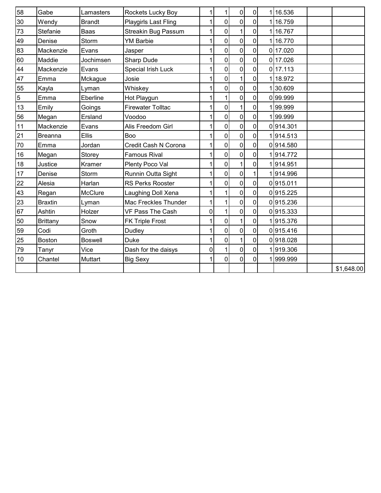| 58<br>1 16.536<br>Gabe<br>$\pmb{0}$<br>0<br>Lamasters<br>Rockets Lucky Boy<br>1<br>1<br>30<br>$\mathbf 0$<br>$\overline{0}$<br>Playgirls Last Fling<br>0<br>1<br>16.759<br>Wendy<br><b>Brandt</b><br>$\overline{1}$<br>$\overline{0}$<br>73<br>0<br>1 16.767<br>Stefanie<br><b>Streakin Bug Passum</b><br><b>Baas</b><br>$\mathbf 0$<br>0<br>1 16.770<br>49<br><b>YM Barbie</b><br>0<br>Denise<br>Storm<br>$\mathbf 0$<br>$\overline{0}$<br>Mackenzie<br>Jasper<br>0<br>0 17.020<br>Evans<br>$\overline{0}$<br>$\mathbf 0$<br>0<br>0 17.026<br>Maddie<br>Sharp Dude<br>Jochimsen<br>$\overline{0}$<br>$\mathbf 0$<br>$0$ 17.113<br>44<br>Special Irish Luck<br>$\overline{0}$<br>Mackenzie<br>Evans<br>$\mathbf{1}$<br>$\mathbf 0$<br>Josie<br>0<br>1 18.972<br>Emma<br>Mckague<br>$\mathbf 0$<br>$\overline{0}$<br>0<br>130.609<br>Kayla<br>Whiskey<br>Lyman<br>$\overline{0}$<br>0 99.999<br>$\mathbf 0$<br>Eberline<br>Emma<br>Hot Playgun<br>1<br>13<br>$\mathbf{1}$<br>$\mathbf 0$<br>Emily<br>Firewater Tolltac<br>0<br>199.999<br>Goings<br>$\mathbf 0$<br>$\overline{0}$<br>0<br>199.999<br>Ersland<br>Voodoo<br>Megan<br>$\mathbf 0$<br>$\overline{0}$<br>0914.301<br>11<br>Alis Freedom Girl<br>0<br>Mackenzie<br>Evans<br>$\mathbf 0$<br> 21<br>$\overline{0}$<br>Ellis<br>0<br>1914.513<br>Boo<br><b>Breanna</b><br>$\mathsf{O}$<br>$\pmb{0}$<br>$\mathbf 0$<br>0914.580<br>70<br>Emma<br>Jordan<br>Credit Cash N Corona<br>1<br>$\mathsf{O}\xspace$<br>$\overline{0}$<br>1914.772<br><b>Famous Rival</b><br>0<br>16<br>Megan<br>Storey<br>$\mathbf{1}$<br>0<br>$\overline{0}$<br>18<br>1914.951<br>Justice<br>Kramer<br>Plenty Poco Val<br>$\mathbf 0$<br>1914.996<br>Storm<br>Runnin Outta Sight<br>0<br>17<br>$\mathbf{1}$<br>Denise<br>$\mathbf 0$<br>$\mathsf{O}$<br>0915.011<br>22<br><b>RS Perks Rooster</b><br>0<br>Harlan<br>Alesia<br>$\mathbf 0$<br>$\overline{0}$<br>43<br>McClure<br>0915.225<br>Laughing Doll Xena<br>1<br>Regan<br>$\overline{0}$<br>$\mathbf 0$<br>23<br>0915.236<br><b>Braxtin</b><br>Mac Freckles Thunder<br>1<br>Lyman<br>$\overline{0}$<br>$\mathbf 0$<br>0915.333<br>Ashtin<br>Holzer<br>VF Pass The Cash<br>0<br>1<br>$\mathbf{1}$<br>$\overline{0}$<br>0<br>1915.376<br>Snow<br>FK Triple Frost<br><b>Brittany</b><br>$\mathbf 0$<br>$\mathbf 0$<br>$\overline{0}$<br>0915.416<br>59<br>Codi<br>Groth<br>Dudley<br>1<br>$\mathbf{1}$<br>$\overline{0}$<br>25<br>0918.028<br><b>Duke</b><br>0<br><b>Boston</b><br><b>Boswell</b><br>$\overline{0}$<br>$\overline{0}$<br>1<br>1919.306<br>79<br>Vice<br>Dash for the daisys<br>0<br>Tanyr<br>$\mathbf 0$<br>0<br>$\mathbf 0$<br>999.999<br>10<br>Chantel<br>Muttart<br><b>Big Sexy</b><br>1<br>1 |    |  |  |  |  |  |            |
|---------------------------------------------------------------------------------------------------------------------------------------------------------------------------------------------------------------------------------------------------------------------------------------------------------------------------------------------------------------------------------------------------------------------------------------------------------------------------------------------------------------------------------------------------------------------------------------------------------------------------------------------------------------------------------------------------------------------------------------------------------------------------------------------------------------------------------------------------------------------------------------------------------------------------------------------------------------------------------------------------------------------------------------------------------------------------------------------------------------------------------------------------------------------------------------------------------------------------------------------------------------------------------------------------------------------------------------------------------------------------------------------------------------------------------------------------------------------------------------------------------------------------------------------------------------------------------------------------------------------------------------------------------------------------------------------------------------------------------------------------------------------------------------------------------------------------------------------------------------------------------------------------------------------------------------------------------------------------------------------------------------------------------------------------------------------------------------------------------------------------------------------------------------------------------------------------------------------------------------------------------------------------------------------------------------------------------------------------------------------------------------------------------------------------------------------------------------------------------------------------------------------------------------------------------------------------------------------------------------------------------------------------------------------------------------------------|----|--|--|--|--|--|------------|
|                                                                                                                                                                                                                                                                                                                                                                                                                                                                                                                                                                                                                                                                                                                                                                                                                                                                                                                                                                                                                                                                                                                                                                                                                                                                                                                                                                                                                                                                                                                                                                                                                                                                                                                                                                                                                                                                                                                                                                                                                                                                                                                                                                                                                                                                                                                                                                                                                                                                                                                                                                                                                                                                                                   |    |  |  |  |  |  |            |
|                                                                                                                                                                                                                                                                                                                                                                                                                                                                                                                                                                                                                                                                                                                                                                                                                                                                                                                                                                                                                                                                                                                                                                                                                                                                                                                                                                                                                                                                                                                                                                                                                                                                                                                                                                                                                                                                                                                                                                                                                                                                                                                                                                                                                                                                                                                                                                                                                                                                                                                                                                                                                                                                                                   |    |  |  |  |  |  |            |
|                                                                                                                                                                                                                                                                                                                                                                                                                                                                                                                                                                                                                                                                                                                                                                                                                                                                                                                                                                                                                                                                                                                                                                                                                                                                                                                                                                                                                                                                                                                                                                                                                                                                                                                                                                                                                                                                                                                                                                                                                                                                                                                                                                                                                                                                                                                                                                                                                                                                                                                                                                                                                                                                                                   |    |  |  |  |  |  |            |
|                                                                                                                                                                                                                                                                                                                                                                                                                                                                                                                                                                                                                                                                                                                                                                                                                                                                                                                                                                                                                                                                                                                                                                                                                                                                                                                                                                                                                                                                                                                                                                                                                                                                                                                                                                                                                                                                                                                                                                                                                                                                                                                                                                                                                                                                                                                                                                                                                                                                                                                                                                                                                                                                                                   |    |  |  |  |  |  |            |
|                                                                                                                                                                                                                                                                                                                                                                                                                                                                                                                                                                                                                                                                                                                                                                                                                                                                                                                                                                                                                                                                                                                                                                                                                                                                                                                                                                                                                                                                                                                                                                                                                                                                                                                                                                                                                                                                                                                                                                                                                                                                                                                                                                                                                                                                                                                                                                                                                                                                                                                                                                                                                                                                                                   | 83 |  |  |  |  |  |            |
|                                                                                                                                                                                                                                                                                                                                                                                                                                                                                                                                                                                                                                                                                                                                                                                                                                                                                                                                                                                                                                                                                                                                                                                                                                                                                                                                                                                                                                                                                                                                                                                                                                                                                                                                                                                                                                                                                                                                                                                                                                                                                                                                                                                                                                                                                                                                                                                                                                                                                                                                                                                                                                                                                                   | 60 |  |  |  |  |  |            |
|                                                                                                                                                                                                                                                                                                                                                                                                                                                                                                                                                                                                                                                                                                                                                                                                                                                                                                                                                                                                                                                                                                                                                                                                                                                                                                                                                                                                                                                                                                                                                                                                                                                                                                                                                                                                                                                                                                                                                                                                                                                                                                                                                                                                                                                                                                                                                                                                                                                                                                                                                                                                                                                                                                   |    |  |  |  |  |  |            |
|                                                                                                                                                                                                                                                                                                                                                                                                                                                                                                                                                                                                                                                                                                                                                                                                                                                                                                                                                                                                                                                                                                                                                                                                                                                                                                                                                                                                                                                                                                                                                                                                                                                                                                                                                                                                                                                                                                                                                                                                                                                                                                                                                                                                                                                                                                                                                                                                                                                                                                                                                                                                                                                                                                   | 47 |  |  |  |  |  |            |
|                                                                                                                                                                                                                                                                                                                                                                                                                                                                                                                                                                                                                                                                                                                                                                                                                                                                                                                                                                                                                                                                                                                                                                                                                                                                                                                                                                                                                                                                                                                                                                                                                                                                                                                                                                                                                                                                                                                                                                                                                                                                                                                                                                                                                                                                                                                                                                                                                                                                                                                                                                                                                                                                                                   | 55 |  |  |  |  |  |            |
|                                                                                                                                                                                                                                                                                                                                                                                                                                                                                                                                                                                                                                                                                                                                                                                                                                                                                                                                                                                                                                                                                                                                                                                                                                                                                                                                                                                                                                                                                                                                                                                                                                                                                                                                                                                                                                                                                                                                                                                                                                                                                                                                                                                                                                                                                                                                                                                                                                                                                                                                                                                                                                                                                                   | 5  |  |  |  |  |  |            |
|                                                                                                                                                                                                                                                                                                                                                                                                                                                                                                                                                                                                                                                                                                                                                                                                                                                                                                                                                                                                                                                                                                                                                                                                                                                                                                                                                                                                                                                                                                                                                                                                                                                                                                                                                                                                                                                                                                                                                                                                                                                                                                                                                                                                                                                                                                                                                                                                                                                                                                                                                                                                                                                                                                   |    |  |  |  |  |  |            |
|                                                                                                                                                                                                                                                                                                                                                                                                                                                                                                                                                                                                                                                                                                                                                                                                                                                                                                                                                                                                                                                                                                                                                                                                                                                                                                                                                                                                                                                                                                                                                                                                                                                                                                                                                                                                                                                                                                                                                                                                                                                                                                                                                                                                                                                                                                                                                                                                                                                                                                                                                                                                                                                                                                   | 56 |  |  |  |  |  |            |
|                                                                                                                                                                                                                                                                                                                                                                                                                                                                                                                                                                                                                                                                                                                                                                                                                                                                                                                                                                                                                                                                                                                                                                                                                                                                                                                                                                                                                                                                                                                                                                                                                                                                                                                                                                                                                                                                                                                                                                                                                                                                                                                                                                                                                                                                                                                                                                                                                                                                                                                                                                                                                                                                                                   |    |  |  |  |  |  |            |
|                                                                                                                                                                                                                                                                                                                                                                                                                                                                                                                                                                                                                                                                                                                                                                                                                                                                                                                                                                                                                                                                                                                                                                                                                                                                                                                                                                                                                                                                                                                                                                                                                                                                                                                                                                                                                                                                                                                                                                                                                                                                                                                                                                                                                                                                                                                                                                                                                                                                                                                                                                                                                                                                                                   |    |  |  |  |  |  |            |
|                                                                                                                                                                                                                                                                                                                                                                                                                                                                                                                                                                                                                                                                                                                                                                                                                                                                                                                                                                                                                                                                                                                                                                                                                                                                                                                                                                                                                                                                                                                                                                                                                                                                                                                                                                                                                                                                                                                                                                                                                                                                                                                                                                                                                                                                                                                                                                                                                                                                                                                                                                                                                                                                                                   |    |  |  |  |  |  |            |
|                                                                                                                                                                                                                                                                                                                                                                                                                                                                                                                                                                                                                                                                                                                                                                                                                                                                                                                                                                                                                                                                                                                                                                                                                                                                                                                                                                                                                                                                                                                                                                                                                                                                                                                                                                                                                                                                                                                                                                                                                                                                                                                                                                                                                                                                                                                                                                                                                                                                                                                                                                                                                                                                                                   |    |  |  |  |  |  |            |
|                                                                                                                                                                                                                                                                                                                                                                                                                                                                                                                                                                                                                                                                                                                                                                                                                                                                                                                                                                                                                                                                                                                                                                                                                                                                                                                                                                                                                                                                                                                                                                                                                                                                                                                                                                                                                                                                                                                                                                                                                                                                                                                                                                                                                                                                                                                                                                                                                                                                                                                                                                                                                                                                                                   |    |  |  |  |  |  |            |
|                                                                                                                                                                                                                                                                                                                                                                                                                                                                                                                                                                                                                                                                                                                                                                                                                                                                                                                                                                                                                                                                                                                                                                                                                                                                                                                                                                                                                                                                                                                                                                                                                                                                                                                                                                                                                                                                                                                                                                                                                                                                                                                                                                                                                                                                                                                                                                                                                                                                                                                                                                                                                                                                                                   |    |  |  |  |  |  |            |
|                                                                                                                                                                                                                                                                                                                                                                                                                                                                                                                                                                                                                                                                                                                                                                                                                                                                                                                                                                                                                                                                                                                                                                                                                                                                                                                                                                                                                                                                                                                                                                                                                                                                                                                                                                                                                                                                                                                                                                                                                                                                                                                                                                                                                                                                                                                                                                                                                                                                                                                                                                                                                                                                                                   |    |  |  |  |  |  |            |
|                                                                                                                                                                                                                                                                                                                                                                                                                                                                                                                                                                                                                                                                                                                                                                                                                                                                                                                                                                                                                                                                                                                                                                                                                                                                                                                                                                                                                                                                                                                                                                                                                                                                                                                                                                                                                                                                                                                                                                                                                                                                                                                                                                                                                                                                                                                                                                                                                                                                                                                                                                                                                                                                                                   |    |  |  |  |  |  |            |
|                                                                                                                                                                                                                                                                                                                                                                                                                                                                                                                                                                                                                                                                                                                                                                                                                                                                                                                                                                                                                                                                                                                                                                                                                                                                                                                                                                                                                                                                                                                                                                                                                                                                                                                                                                                                                                                                                                                                                                                                                                                                                                                                                                                                                                                                                                                                                                                                                                                                                                                                                                                                                                                                                                   |    |  |  |  |  |  |            |
|                                                                                                                                                                                                                                                                                                                                                                                                                                                                                                                                                                                                                                                                                                                                                                                                                                                                                                                                                                                                                                                                                                                                                                                                                                                                                                                                                                                                                                                                                                                                                                                                                                                                                                                                                                                                                                                                                                                                                                                                                                                                                                                                                                                                                                                                                                                                                                                                                                                                                                                                                                                                                                                                                                   | 67 |  |  |  |  |  |            |
|                                                                                                                                                                                                                                                                                                                                                                                                                                                                                                                                                                                                                                                                                                                                                                                                                                                                                                                                                                                                                                                                                                                                                                                                                                                                                                                                                                                                                                                                                                                                                                                                                                                                                                                                                                                                                                                                                                                                                                                                                                                                                                                                                                                                                                                                                                                                                                                                                                                                                                                                                                                                                                                                                                   | 50 |  |  |  |  |  |            |
|                                                                                                                                                                                                                                                                                                                                                                                                                                                                                                                                                                                                                                                                                                                                                                                                                                                                                                                                                                                                                                                                                                                                                                                                                                                                                                                                                                                                                                                                                                                                                                                                                                                                                                                                                                                                                                                                                                                                                                                                                                                                                                                                                                                                                                                                                                                                                                                                                                                                                                                                                                                                                                                                                                   |    |  |  |  |  |  |            |
|                                                                                                                                                                                                                                                                                                                                                                                                                                                                                                                                                                                                                                                                                                                                                                                                                                                                                                                                                                                                                                                                                                                                                                                                                                                                                                                                                                                                                                                                                                                                                                                                                                                                                                                                                                                                                                                                                                                                                                                                                                                                                                                                                                                                                                                                                                                                                                                                                                                                                                                                                                                                                                                                                                   |    |  |  |  |  |  |            |
|                                                                                                                                                                                                                                                                                                                                                                                                                                                                                                                                                                                                                                                                                                                                                                                                                                                                                                                                                                                                                                                                                                                                                                                                                                                                                                                                                                                                                                                                                                                                                                                                                                                                                                                                                                                                                                                                                                                                                                                                                                                                                                                                                                                                                                                                                                                                                                                                                                                                                                                                                                                                                                                                                                   |    |  |  |  |  |  |            |
|                                                                                                                                                                                                                                                                                                                                                                                                                                                                                                                                                                                                                                                                                                                                                                                                                                                                                                                                                                                                                                                                                                                                                                                                                                                                                                                                                                                                                                                                                                                                                                                                                                                                                                                                                                                                                                                                                                                                                                                                                                                                                                                                                                                                                                                                                                                                                                                                                                                                                                                                                                                                                                                                                                   |    |  |  |  |  |  |            |
|                                                                                                                                                                                                                                                                                                                                                                                                                                                                                                                                                                                                                                                                                                                                                                                                                                                                                                                                                                                                                                                                                                                                                                                                                                                                                                                                                                                                                                                                                                                                                                                                                                                                                                                                                                                                                                                                                                                                                                                                                                                                                                                                                                                                                                                                                                                                                                                                                                                                                                                                                                                                                                                                                                   |    |  |  |  |  |  | \$1,648.00 |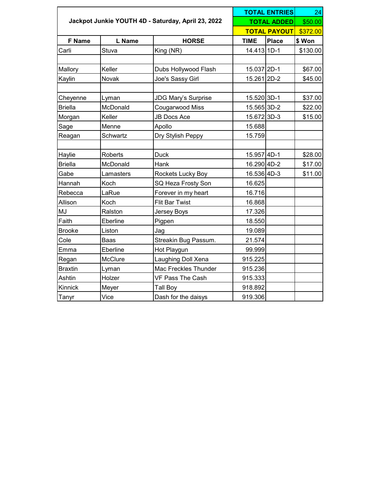|                |                |                                                    |             | <b>TOTAL ENTRIES</b> | 24       |
|----------------|----------------|----------------------------------------------------|-------------|----------------------|----------|
|                |                | Jackpot Junkie YOUTH 4D - Saturday, April 23, 2022 |             | <b>TOTAL ADDED</b>   | \$50.00  |
|                |                |                                                    |             | <b>TOTAL PAYOUT</b>  | \$372.00 |
| <b>F</b> Name  | L Name         | <b>HORSE</b>                                       | <b>TIME</b> | <b>Place</b>         | \$Won    |
| Carli          | Stuva          | King (NR)                                          | 14.413 1D-1 |                      | \$130.00 |
|                |                |                                                    |             |                      |          |
| Mallory        | Keller         | Dubs Hollywood Flash                               | 15.037 2D-1 |                      | \$67.00  |
| Kaylin         | Novak          | Joe's Sassy Girl                                   | 15.261 2D-2 |                      | \$45.00  |
|                |                |                                                    |             |                      |          |
| Cheyenne       | Lyman          | JDG Mary's Surprise                                | 15.520 3D-1 |                      | \$37.00  |
| <b>Briella</b> | McDonald       | Cougarwood Miss                                    | 15.565 3D-2 |                      | \$22.00  |
| Morgan         | Keller         | <b>JB Docs Ace</b>                                 | 15.672 3D-3 |                      | \$15.00  |
| Sage           | Menne          | Apollo                                             | 15.688      |                      |          |
| Reagan         | Schwartz       | Dry Stylish Peppy                                  | 15.759      |                      |          |
|                |                |                                                    |             |                      |          |
| Haylie         | <b>Roberts</b> | <b>Duck</b>                                        | 15.957 4D-1 |                      | \$28.00  |
| <b>Briella</b> | McDonald       | Hank                                               | 16.290 4D-2 |                      | \$17.00  |
| Gabe           | Lamasters      | Rockets Lucky Boy                                  | 16.536 4D-3 |                      | \$11.00  |
| Hannah         | Koch           | SQ Heza Frosty Son                                 | 16.625      |                      |          |
| Rebecca        | LaRue          | Forever in my heart                                | 16.716      |                      |          |
| Allison        | Koch           | Flit Bar Twist                                     | 16.868      |                      |          |
| MJ             | Ralston        | Jersey Boys                                        | 17.326      |                      |          |
| Faith          | Eberline       | Pigpen                                             | 18.550      |                      |          |
| <b>Brooke</b>  | Liston         | Jag                                                | 19.089      |                      |          |
| Cole           | Baas           | Streakin Bug Passum.                               | 21.574      |                      |          |
| Emma           | Eberline       | Hot Playgun                                        | 99.999      |                      |          |
| Regan          | McClure        | Laughing Doll Xena                                 | 915.225     |                      |          |
| Braxtin        | Lyman          | Mac Freckles Thunder                               | 915.236     |                      |          |
| Ashtin         | Holzer         | VF Pass The Cash                                   | 915.333     |                      |          |
| Kinnick        | Meyer          | <b>Tall Boy</b>                                    | 918.892     |                      |          |
| Tanyr          | Vice           | Dash for the daisys                                | 919.306     |                      |          |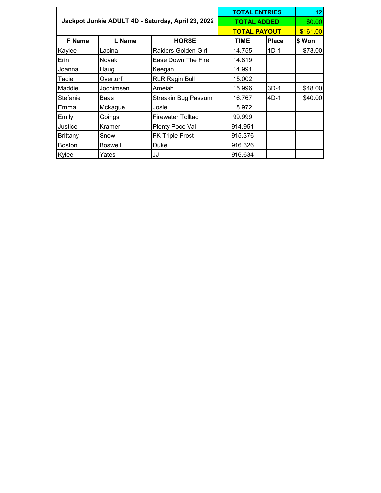|                 |                |                                                    | <b>TOTAL ENTRIES</b> |              | 12      |
|-----------------|----------------|----------------------------------------------------|----------------------|--------------|---------|
|                 |                | Jackpot Junkie ADULT 4D - Saturday, April 23, 2022 | <b>TOTAL ADDED</b>   |              | \$0.00  |
|                 |                | <b>TOTAL PAYOUT</b>                                |                      | \$161.00     |         |
| <b>F</b> Name   | L Name         | <b>HORSE</b>                                       | TIME                 | <b>Place</b> | \$ Won  |
| Kaylee          | Lacina         | Raiders Golden Girl                                | 14.755               | $1D-1$       | \$73.00 |
| Erin            | <b>Novak</b>   | Ease Down The Fire                                 | 14.819               |              |         |
| Joanna          | Haug           | Keegan                                             | 14.991               |              |         |
| Tacie           | Overturf       | <b>RLR Ragin Bull</b>                              | 15.002               |              |         |
| Maddie          | Jochimsen      | Ameiah                                             | 15.996               | $3D-1$       | \$48.00 |
| Stefanie        | Baas           | <b>Streakin Bug Passum</b>                         | 16.767               | $4D-1$       | \$40.00 |
| Emma            | Mckague        | Josie                                              | 18.972               |              |         |
| Emily           | Goings         | <b>Firewater Tolltac</b>                           | 99.999               |              |         |
| Justice         | Kramer         | Plenty Poco Val                                    | 914.951              |              |         |
| <b>Brittany</b> | Snow           | <b>FK Triple Frost</b>                             | 915.376              |              |         |
| <b>Boston</b>   | <b>Boswell</b> | Duke                                               | 916.326              |              |         |
| Kylee           | Yates          | JJ                                                 | 916.634              |              |         |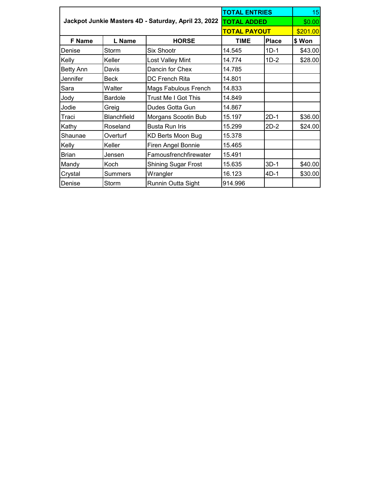|                  |                |                                                                  | <b>TOTAL ENTRIES</b> |              | 15       |
|------------------|----------------|------------------------------------------------------------------|----------------------|--------------|----------|
|                  |                | Jackpot Junkie Masters 4D - Saturday, April 23, 2022 TOTAL ADDED |                      |              | \$0.00   |
|                  |                |                                                                  | <b>TOTAL PAYOUT</b>  |              | \$201.00 |
| F Name           | L Name         | <b>HORSE</b>                                                     | <b>TIME</b>          | <b>Place</b> | \$ Won   |
| Denise           | Storm          | <b>Six Shootr</b>                                                | 14.545               | $1D-1$       | \$43.00  |
| Kelly            | Keller         | Lost Valley Mint                                                 | 14.774               | $1D-2$       | \$28.00  |
| <b>Betty Ann</b> | Davis          | Dancin for Chex                                                  | 14.785               |              |          |
| Jennifer         | <b>Beck</b>    | DC French Rita                                                   | 14.801               |              |          |
| Sara             | Walter         | Mags Fabulous French                                             | 14.833               |              |          |
| Jody             | <b>Bardole</b> | Trust Me I Got This                                              | 14.849               |              |          |
| Jodie            | Greig          | Dudes Gotta Gun                                                  | 14.867               |              |          |
| Traci            | Blanchfield    | Morgans Scootin Bub                                              | 15.197               | $2D-1$       | \$36.00  |
| Kathy            | Roseland       | <b>Busta Run Iris</b>                                            | 15.299               | $2D-2$       | \$24.00  |
| Shaunae          | Overturf       | <b>KD Berts Moon Bug</b>                                         | 15.378               |              |          |
| Kelly            | Keller         | Firen Angel Bonnie                                               | 15.465               |              |          |
| <b>Brian</b>     | Jensen         | Famousfrenchfirewater                                            | 15.491               |              |          |
| Mandy            | Koch           | <b>Shining Sugar Frost</b>                                       | 15.635               | $3D-1$       | \$40.00  |
| Crystal          | Summers        | Wrangler                                                         | 16.123               | $4D-1$       | \$30.00  |
| Denise           | Storm          | Runnin Outta Sight                                               | 914.996              |              |          |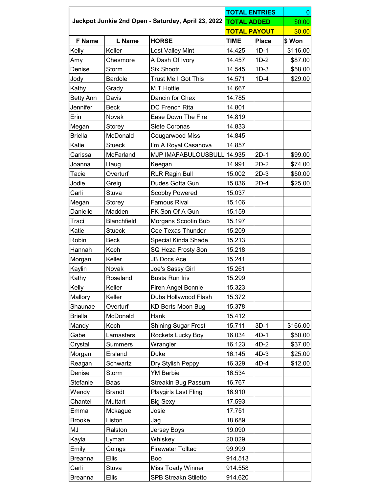|                  |                    | <b>TOTAL ENTRIES</b>                               |                     | 0            |          |
|------------------|--------------------|----------------------------------------------------|---------------------|--------------|----------|
|                  |                    | Jackpot Junkie 2nd Open - Saturday, April 23, 2022 | <b>TOTAL ADDED</b>  |              | \$0.00   |
|                  |                    |                                                    | <b>TOTAL PAYOUT</b> |              | \$0.00   |
| <b>F</b> Name    | L Name             | <b>HORSE</b>                                       | <b>TIME</b>         | <b>Place</b> | \$Won    |
| Kelly            | Keller             | <b>Lost Valley Mint</b>                            | 14.425              | $1D-1$       | \$116.00 |
| Amy              | Chesmore           | A Dash Of Ivory                                    | 14.457              | $1D-2$       | \$87.00  |
| Denise           | Storm              | <b>Six Shootr</b>                                  | 14.545              | $1D-3$       | \$58.00  |
| Jody             | <b>Bardole</b>     | Trust Me I Got This                                | 14.571              | $1D-4$       | \$29.00  |
| Kathy            | Grady              | M.T.Hottie                                         | 14.667              |              |          |
| <b>Betty Ann</b> | Davis              | Dancin for Chex                                    | 14.785              |              |          |
| Jennifer         | <b>Beck</b>        | DC French Rita                                     | 14.801              |              |          |
| Erin             | Novak              | Ease Down The Fire                                 | 14.819              |              |          |
| Megan            | Storey             | Siete Coronas                                      | 14.833              |              |          |
| <b>Briella</b>   | McDonald           | Cougarwood Miss                                    | 14.845              |              |          |
| Katie            | <b>Stueck</b>      | I'm A Royal Casanova                               | 14.857              |              |          |
| Carissa          | McFarland          | MJP IMAFABULOUSBULL                                | 14.935              | $2D-1$       | \$99.00  |
| Joanna           | Haug               | Keegan                                             | 14.991              | $2D-2$       | \$74.00  |
| Tacie            | Overturf           | <b>RLR Ragin Bull</b>                              | 15.002              | $2D-3$       | \$50.00  |
| Jodie            | Greig              | Dudes Gotta Gun                                    | 15.036              | $2D-4$       | \$25.00  |
| Carli            | Stuva              | Scobby Powered                                     | 15.037              |              |          |
| Megan            | Storey             | <b>Famous Rival</b>                                | 15.106              |              |          |
| Danielle         | Madden             | FK Son Of A Gun                                    | 15.159              |              |          |
| Traci            | <b>Blanchfield</b> | Morgans Scootin Bub                                | 15.197              |              |          |
| Katie            | <b>Stueck</b>      | Cee Texas Thunder                                  | 15.209              |              |          |
| Robin            | <b>Beck</b>        | Special Kinda Shade                                | 15.213              |              |          |
| Hannah           | Koch               | SQ Heza Frosty Son                                 | 15.218              |              |          |
| Morgan           | Keller             | <b>JB Docs Ace</b>                                 | 15.241              |              |          |
| Kaylin           | Novak              | Joe's Sassy Girl                                   | 15.261              |              |          |
| Kathy            | Roseland           | <b>Busta Run Iris</b>                              | 15.299              |              |          |
| Kelly            | Keller             | Firen Angel Bonnie                                 | 15.323              |              |          |
| Mallory          | Keller             | Dubs Hollywood Flash                               | 15.372              |              |          |
| Shaunae          | Overturf           | <b>KD Berts Moon Bug</b>                           | 15.378              |              |          |
| <b>Briella</b>   | McDonald           | Hank                                               | 15.412              |              |          |
| Mandy            | Koch               | <b>Shining Sugar Frost</b>                         | 15.711              | $3D-1$       | \$166.00 |
| Gabe             | Lamasters          | Rockets Lucky Boy                                  | 16.034              | $4D-1$       | \$50.00  |
| Crystal          | <b>Summers</b>     | Wrangler                                           | 16.123              | $4D-2$       | \$37.00  |
| Morgan           | Ersland            | Duke                                               | 16.145              | $4D-3$       | \$25.00  |
| Reagan           | Schwartz           | Dry Stylish Peppy                                  | 16.329              | $4D-4$       | \$12.00  |
| Denise           | Storm              | <b>YM Barbie</b>                                   | 16.534              |              |          |
| Stefanie         | Baas               | Streakin Bug Passum                                | 16.767              |              |          |
| Wendy            | <b>Brandt</b>      | Playgirls Last Fling                               | 16.910              |              |          |
| Chantel          | Muttart            | Big Sexy                                           | 17.593              |              |          |
| Emma             | Mckague            | Josie                                              | 17.751              |              |          |
| <b>Brooke</b>    | Liston             | Jag                                                | 18.689              |              |          |
| MJ               | Ralston            | Jersey Boys                                        | 19.090              |              |          |
| Kayla            | Lyman              | Whiskey                                            | 20.029              |              |          |
| Emily            | Goings             | <b>Firewater Tolltac</b>                           | 99.999              |              |          |
| <b>Breanna</b>   | <b>Ellis</b>       | Boo                                                | 914.513             |              |          |
| Carli            | Stuva              | Miss Toady Winner                                  | 914.558             |              |          |
| <b>Breanna</b>   | <b>Ellis</b>       | <b>SPB Streakn Stiletto</b>                        | 914.620             |              |          |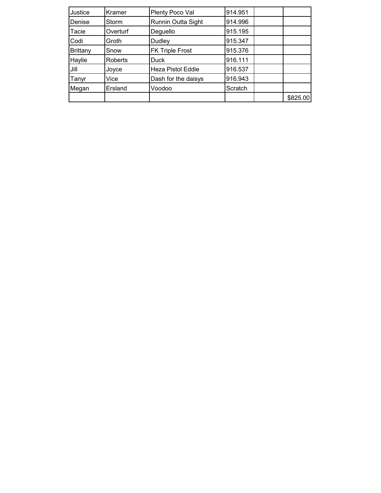| Justice         | Kramer   | Plenty Poco Val          | 914.951 |          |
|-----------------|----------|--------------------------|---------|----------|
| Denise          | Storm    | Runnin Outta Sight       | 914.996 |          |
| Tacie           | Overturf | Deguello                 | 915.195 |          |
| Codi            | Groth    | Dudley                   | 915.347 |          |
| <b>Brittany</b> | Snow     | <b>FK Triple Frost</b>   | 915.376 |          |
| Haylie          | Roberts  | Duck                     | 916.111 |          |
| Jill            | Joyce    | <b>Heza Pistol Eddie</b> | 916.537 |          |
| Tanyr           | Vice     | Dash for the daisys      | 916.943 |          |
| Megan           | Ersland  | Voodoo                   | Scratch |          |
|                 |          |                          |         | \$825.00 |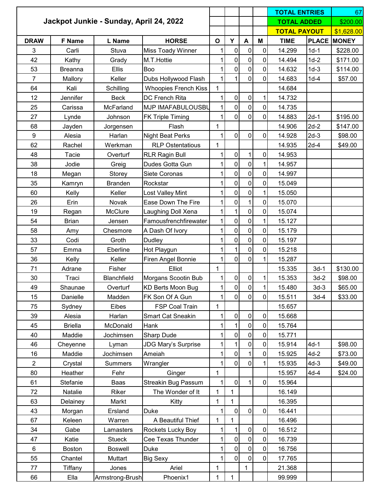|                |                |                                         |                             |              |                |                |              | <b>TOTAL ENTRIES</b> |              | 67           |
|----------------|----------------|-----------------------------------------|-----------------------------|--------------|----------------|----------------|--------------|----------------------|--------------|--------------|
|                |                | Jackpot Junkie - Sunday, April 24, 2022 |                             |              |                |                |              | <b>TOTAL ADDED</b>   |              | \$200.00     |
|                |                |                                         |                             |              |                |                |              | <b>TOTAL PAYOUT</b>  |              | \$1,628.00   |
| <b>DRAW</b>    | F Name         | L Name                                  | <b>HORSE</b>                | $\mathbf{o}$ | Υ              | A              | M            | <b>TIME</b>          | <b>PLACE</b> | <b>MONEY</b> |
| 3              | Carli          | Stuva                                   | Miss Toady Winner           | 1            | $\mathbf 0$    | $\pmb{0}$      | 0            | 14.299               | $1d-1$       | \$228.00     |
| 42             | Kathy          | Grady                                   | M.T.Hottie                  | $\mathbf{1}$ | $\mathbf 0$    | $\mathbf 0$    | 0            | 14.494               | $1d-2$       | \$171.00     |
| 53             | <b>Breanna</b> | Ellis                                   | Boo                         | 1            | $\pmb{0}$      | $\mathbf 0$    | 0            | 14.632               | $1d-3$       | \$114.00     |
| $\overline{7}$ | Mallory        | Keller                                  | Dubs Hollywood Flash        | $\mathbf{1}$ | 1              | $\overline{0}$ | 0            | 14.683               | $1d-4$       | \$57.00      |
| 64             | Kali           | Schilling                               | <b>Whoopies French Kiss</b> | 1            |                |                |              | 14.684               |              |              |
| 12             | Jennifer       | <b>Beck</b>                             | DC French Rita              | 1            | $\overline{0}$ | $\pmb{0}$      | $\mathbf{1}$ | 14.732               |              |              |
| 25             | Carissa        | McFarland                               | <b>MJP IMAFABULOUSBU</b>    | 1            | $\mathbf 0$    | $\mathbf 0$    | 0            | 14.735               |              |              |
| 27             | Lynde          | Johnson                                 | <b>FK Triple Timing</b>     | $\mathbf{1}$ | $\overline{0}$ | $\mathbf 0$    | 0            | 14.883               | $2d-1$       | \$195.00     |
| 68             | Jayden         | Jorgensen                               | Flash                       | 1            |                |                |              | 14.906               | $2d-2$       | \$147.00     |
| 9              | Alesia         | Harlan                                  | <b>Night Beat Perks</b>     | 1            | $\mathbf 0$    | $\mathbf 0$    | $\mathbf 0$  | 14.928               | $2d-3$       | \$98.00      |
| 62             | Rachel         | Werkman                                 | <b>RLP Ostentatious</b>     | 1            |                |                |              | 14.935               | $2d-4$       | \$49.00      |
| 48             | Tacie          | Overturf                                | <b>RLR Ragin Bull</b>       | 1            | $\pmb{0}$      | $\mathbf{1}$   | 0            | 14.953               |              |              |
| 38             | Jodie          | Greig                                   | Dudes Gotta Gun             | $\mathbf{1}$ | $\mathbf 0$    | $\overline{0}$ | $\mathbf{1}$ | 14.957               |              |              |
| 18             | Megan          | Storey                                  | Siete Coronas               | $\mathbf 1$  | $\mathbf 0$    | $\mathbf 0$    | $\mathbf 0$  | 14.997               |              |              |
| 35             | Kamryn         | <b>Branden</b>                          | Rockstar                    | 1            | $\mathbf 0$    | $\mathbf 0$    | 0            | 15.049               |              |              |
| 60             | Kelly          | Keller                                  | Lost Valley Mint            | 1            | $\pmb{0}$      | $\mathbf 0$    | $\mathbf{1}$ | 15.050               |              |              |
| 26             | Erin           | Novak                                   | Ease Down The Fire          | 1            | $\mathbf 0$    | $\mathbf{1}$   | 0            | 15.070               |              |              |
| 19             | Regan          | McClure                                 | Laughing Doll Xena          | 1            | 1              | $\mathbf 0$    | 0            | 15.074               |              |              |
| 54             | <b>Brian</b>   | Jensen                                  | Famousfrenchfirewater       | $\mathbf{1}$ | $\mathbf 0$    | $\mathbf 0$    | $\mathbf{1}$ | 15.127               |              |              |
| 58             | Amy            | Chesmore                                | A Dash Of Ivory             | $\mathbf{1}$ | $\mathbf 0$    | $\mathbf 0$    | 0            | 15.179               |              |              |
| 33             | Codi           | Groth                                   | <b>Dudley</b>               | $\mathbf{1}$ | $\mathbf 0$    | $\mathbf 0$    | $\mathbf 0$  | 15.197               |              |              |
| 57             | Emma           | Eberline                                | Hot Playgun                 | $\mathbf{1}$ | 1              | $\mathbf 0$    | 0            | 15.218               |              |              |
| 36             | Kelly          | Keller                                  | Firen Angel Bonnie          | 1            | $\mathbf 0$    | $\mathbf 0$    | $\mathbf{1}$ | 15.287               |              |              |
| 71             | Adrane         | Fisher                                  | Elliot                      | 1            |                |                |              | 15.335               | $3d-1$       | \$130.00     |
| 30             | Traci          | Blanchfield                             | Morgans Scootin Bub         | 1            | $\pmb{0}$      | 0              | 1            | 15.353               | $3d-2$       | \$98.00      |
| 49             | Shaunae        | Overturf                                | <b>KD Berts Moon Bug</b>    | 1            | $\overline{0}$ | $\overline{0}$ | 1            | 15.480               | $3d-3$       | \$65.00      |
| 15             | Danielle       | Madden                                  | FK Son Of A Gun             |              | $\overline{0}$ | $\overline{0}$ | 0            | 15.511               | $3d-4$       | \$33.00      |
| 75             | Sydney         | Eibes                                   | <b>FSP Coal Train</b>       | 1            |                |                |              | 15.657               |              |              |
| 39             | Alesia         | Harlan                                  | <b>Smart Cat Sneakin</b>    | 1            | 0              | $\pmb{0}$      | 0            | 15.668               |              |              |
| 45             | <b>Briella</b> | McDonald                                | Hank                        | 1            | 1              | $\overline{0}$ | 0            | 15.764               |              |              |
| 40             | Maddie         | Jochimsen                               | <b>Sharp Dude</b>           | 1            | 0              | $\overline{0}$ | 0            | 15.771               |              |              |
| 46             | Cheyenne       | Lyman                                   | <b>JDG Mary's Surprise</b>  | 1            | 1              | $\overline{0}$ | 0            | 15.914               | $4d-1$       | \$98.00      |
| 16             | Maddie         | Jochimsen                               | Ameiah                      | $\mathbf{1}$ | $\mathbf 0$    | $\mathbf{1}$   | 0            | 15.925               | $4d-2$       | \$73.00      |
| $\overline{2}$ | Crystal        | <b>Summers</b>                          | Wrangler                    | 1            | $\overline{0}$ | $\overline{0}$ | $\mathbf{1}$ | 15.935               | $4d-3$       | \$49.00      |
| 80             | Heather        | Fehr                                    | Ginger                      | 1            |                |                |              | 15.957               | $4d-4$       | \$24.00      |
| 61             | Stefanie       | Baas                                    | <b>Streakin Bug Passum</b>  | 1            | $\pmb{0}$      | $\mathbf{1}$   | $\mathbf 0$  | 15.964               |              |              |
| 72             | Natalie        | Riker                                   | The Wonder of It            | $\mathbf{1}$ | $\mathbf{1}$   |                |              | 16.149               |              |              |
| 63             | Delainey       | Markt                                   | Kitty                       | 1            | $\mathbf 1$    |                |              | 16.395               |              |              |
| 43             | Morgan         | Ersland                                 | Duke                        | 1            | $\mathbf 0$    | $\mathbf 0$    | 0            | 16.441               |              |              |
| 67             | Keleen         | Warren                                  | A Beautiful Thief           | 1            | 1              |                |              | 16.496               |              |              |
| 34             | Gabe           | Lamasters                               | Rockets Lucky Boy           | $\mathbf 1$  | 1              | $\overline{0}$ | 0            | 16.512               |              |              |
| 47             | Katie          | <b>Stueck</b>                           | Cee Texas Thunder           | 1            | $\overline{0}$ | $\pmb{0}$      | 0            | 16.739               |              |              |
| 6              | <b>Boston</b>  | <b>Boswell</b>                          | Duke                        | 1            | $\overline{0}$ | $\overline{0}$ | 0            | 16.756               |              |              |
| 55             | Chantel        | Muttart                                 | Big Sexy                    | $\mathbf{1}$ | $\overline{0}$ | $\overline{0}$ | $\mathbf 0$  | 17.765               |              |              |
| 77             | Tiffany        | Jones                                   | Ariel                       | 1            |                | $\mathbf{1}$   |              | 21.368               |              |              |
| 66             | Ella           | Armstrong-Brush                         | Phoenix1                    | 1            | 1              |                |              | 99.999               |              |              |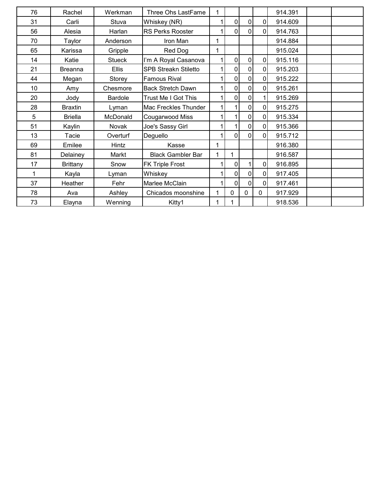| 76              | Rachel          | Werkman       | Three Ohs LastFame          | 1              |                |                |                | 914.391 |  |
|-----------------|-----------------|---------------|-----------------------------|----------------|----------------|----------------|----------------|---------|--|
| 31              | Carli           | Stuva         | Whiskey (NR)                | 1              | $\overline{0}$ | $\overline{0}$ | $\overline{0}$ | 914.609 |  |
| 56              | Alesia          | Harlan        | <b>RS Perks Rooster</b>     | 1              | $\Omega$       | $\Omega$       | $\Omega$       | 914.763 |  |
| 70              | Taylor          | Anderson      | Iron Man                    | 1              |                |                |                | 914.884 |  |
| 65              | Karissa         | Gripple       | Red Dog                     | 1              |                |                |                | 915.024 |  |
| 14              | Katie           | <b>Stueck</b> | I'm A Royal Casanova        | 1              | $\overline{0}$ | $\overline{0}$ | $\overline{0}$ | 915.116 |  |
| 21              | <b>Breanna</b>  | <b>Ellis</b>  | <b>SPB Streakn Stiletto</b> | 1              | $\mathbf 0$    | $\overline{0}$ | $\overline{0}$ | 915.203 |  |
| 44              | Megan           | Storey        | <b>Famous Rival</b>         | 1              | $\overline{0}$ | $\overline{0}$ | $\overline{0}$ | 915.222 |  |
| 10 <sup>°</sup> | Amy             | Chesmore      | <b>Back Stretch Dawn</b>    | 1              | $\overline{0}$ | $\overline{0}$ | $\overline{0}$ | 915.261 |  |
| 20              | Jody            | Bardole       | Trust Me I Got This         | 1 <sub>1</sub> | $\overline{0}$ | $\overline{0}$ | $\mathbf{1}$   | 915.269 |  |
| 28              | <b>Braxtin</b>  | Lyman         | Mac Freckles Thunder        | 1              |                | $\mathbf 0$    | $\overline{0}$ | 915.275 |  |
| 5               | <b>Briella</b>  | McDonald      | Cougarwood Miss             | 1              |                | $\overline{0}$ | $\overline{0}$ | 915.334 |  |
| 51              | Kaylin          | Novak         | Joe's Sassy Girl            | 1              |                | $\overline{0}$ | $\overline{0}$ | 915.366 |  |
| 13              | Tacie           | Overturf      | Deguello                    | 1              | $\overline{0}$ | $\mathbf 0$    | $\overline{0}$ | 915.712 |  |
| 69              | Emilee          | Hintz         | Kasse                       | 1              |                |                |                | 916.380 |  |
| 81              | Delainey        | Markt         | <b>Black Gambler Bar</b>    | 1              |                |                |                | 916.587 |  |
| 17              | <b>Brittany</b> | Snow          | <b>FK Triple Frost</b>      | 1              | $\overline{0}$ | 1              | $\overline{0}$ | 916.895 |  |
|                 | Kayla           | Lyman         | Whiskey                     | 1              | $\overline{0}$ | $\overline{0}$ | $\overline{0}$ | 917.405 |  |
| 37              | Heather         | Fehr          | Marlee McClain              |                | $\Omega$       | $\Omega$       | $\overline{0}$ | 917.461 |  |
| 78              | Ava             | Ashley        | Chicados moonshine          | 1              | 0              | 0              | 0              | 917.929 |  |
| 73              | Elayna          | Wenning       | Kitty1                      | 1              |                |                |                | 918.536 |  |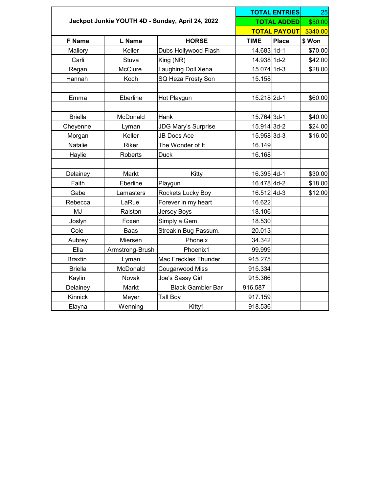|                |                 |                                                  |             | <b>TOTAL ENTRIES</b> | 25       |
|----------------|-----------------|--------------------------------------------------|-------------|----------------------|----------|
|                |                 | Jackpot Junkie YOUTH 4D - Sunday, April 24, 2022 |             | <b>TOTAL ADDED</b>   | \$50.00  |
|                |                 |                                                  |             | <b>TOTAL PAYOUT</b>  | \$340.00 |
| F Name         | L Name          | <b>HORSE</b>                                     | <b>TIME</b> | <b>Place</b>         | \$ Won   |
| Mallory        | Keller          | Dubs Hollywood Flash                             | 14.683 1d-1 |                      | \$70.00  |
| Carli          | Stuva           | King (NR)                                        | 14.938 1d-2 |                      | \$42.00  |
| Regan          | McClure         | Laughing Doll Xena                               | 15.074 1d-3 |                      | \$28.00  |
| Hannah         | Koch            | SQ Heza Frosty Son                               | 15.158      |                      |          |
| Emma           | Eberline        | Hot Playgun                                      | 15.218 2d-1 |                      | \$60.00  |
| <b>Briella</b> | McDonald        | Hank                                             | 15.764 3d-1 |                      | \$40.00  |
| Cheyenne       | Lyman           | <b>JDG Mary's Surprise</b>                       | 15.914 3d-2 |                      | \$24.00  |
| Morgan         | Keller          | <b>JB Docs Ace</b>                               | 15.958 3d-3 |                      | \$16.00  |
| Natalie        | Riker           | The Wonder of It                                 | 16.149      |                      |          |
| Haylie         | Roberts         | <b>Duck</b>                                      | 16.168      |                      |          |
|                |                 |                                                  |             |                      |          |
| Delainey       | Markt           | Kitty                                            | 16.395 4d-1 |                      | \$30.00  |
| Faith          | Eberline        | Playgun                                          | 16.478 4d-2 |                      | \$18.00  |
| Gabe           | Lamasters       | Rockets Lucky Boy                                | 16.512 4d-3 |                      | \$12.00  |
| Rebecca        | LaRue           | Forever in my heart                              | 16.622      |                      |          |
| MJ             | Ralston         | Jersey Boys                                      | 18.106      |                      |          |
| Joslyn         | Foxen           | Simply a Gem                                     | 18.530      |                      |          |
| Cole           | Baas            | Streakin Bug Passum.                             | 20.013      |                      |          |
| Aubrey         | Miersen         | Phoneix                                          | 34.342      |                      |          |
| Ella           | Armstrong-Brush | Phoenix1                                         | 99.999      |                      |          |
| <b>Braxtin</b> | Lyman           | Mac Freckles Thunder                             | 915.275     |                      |          |
| <b>Briella</b> | McDonald        | Cougarwood Miss                                  | 915.334     |                      |          |
| Kaylin         | Novak           | Joe's Sassy Girl                                 | 915.366     |                      |          |
| Delainey       | Markt           | <b>Black Gambler Bar</b>                         | 916.587     |                      |          |
| Kinnick        | Meyer           | Tall Boy                                         | 917.159     |                      |          |
| Elayna         | Wenning         | Kitty1                                           | 918.536     |                      |          |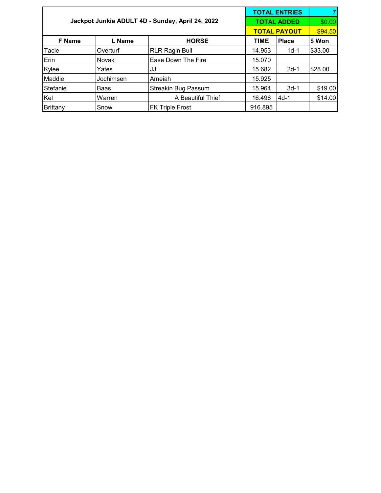|                 |              |                                                  | <b>TOTAL ENTRIES</b> |                     |         |  |
|-----------------|--------------|--------------------------------------------------|----------------------|---------------------|---------|--|
|                 |              | Jackpot Junkie ADULT 4D - Sunday, April 24, 2022 |                      | <b>TOTAL ADDED</b>  | \$0.00  |  |
|                 |              |                                                  |                      | <b>TOTAL PAYOUT</b> |         |  |
| <b>F</b> Name   | L Name       | <b>HORSE</b>                                     | TIME                 | <b>Place</b>        | \$ Won  |  |
| Tacie           | Overturf     | <b>RLR Ragin Bull</b>                            | 14.953               | $1d-1$              | \$33.00 |  |
| Erin            | <b>Novak</b> | Ease Down The Fire                               | 15.070               |                     |         |  |
| Kylee           | Yates        | JJ                                               | 15.682               | $2d-1$              | \$28.00 |  |
| Maddie          | Jochimsen    | Ameiah                                           | 15.925               |                     |         |  |
| Stefanie        | Baas         | <b>Streakin Bug Passum</b>                       | 15.964               | $3d-1$              | \$19.00 |  |
| Kel             | Warren       | A Beautiful Thief                                | 16.496               | $4d-1$              | \$14.00 |  |
| <b>Brittany</b> | Snow         | <b>FK Triple Frost</b>                           | 916.895              |                     |         |  |